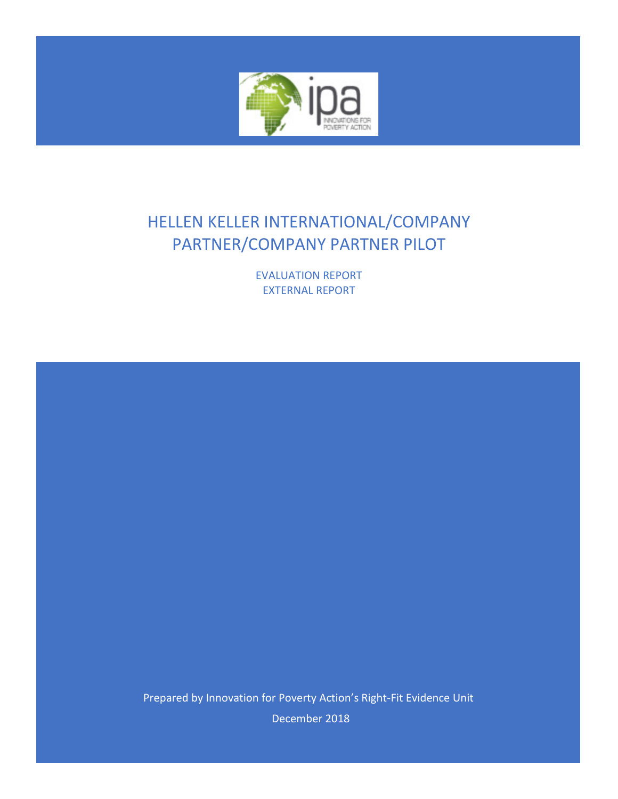

# HELLEN KELLER INTERNATIONAL/COMPANY PARTNER/COMPANY PARTNER PILOT

EVALUATION REPORT EXTERNAL REPORT

Prepared by Innovation for Poverty Action's Right-Fit Evidence Unit

December 2018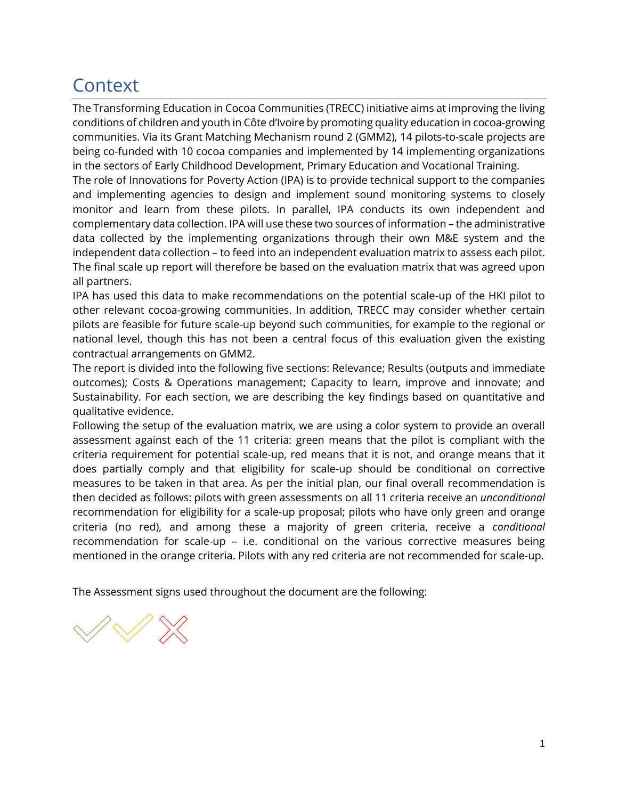# <span id="page-1-0"></span>**Context**

The Transforming Education in Cocoa Communities (TRECC) initiative aims at improving the living conditions of children and youth in Côte d'Ivoire by promoting quality education in cocoa-growing communities. Via its Grant Matching Mechanism round 2 (GMM2), 14 pilots-to-scale projects are being co-funded with 10 cocoa companies and implemented by 14 implementing organizations in the sectors of Early Childhood Development, Primary Education and Vocational Training.

The role of Innovations for Poverty Action (IPA) is to provide technical support to the companies and implementing agencies to design and implement sound monitoring systems to closely monitor and learn from these pilots. In parallel, IPA conducts its own independent and complementary data collection. IPA will use these two sources of information – the administrative data collected by the implementing organizations through their own M&E system and the independent data collection – to feed into an independent evaluation matrix to assess each pilot. The final scale up report will therefore be based on the evaluation matrix that was agreed upon all partners.

IPA has used this data to make recommendations on the potential scale-up of the HKI pilot to other relevant cocoa-growing communities. In addition, TRECC may consider whether certain pilots are feasible for future scale-up beyond such communities, for example to the regional or national level, though this has not been a central focus of this evaluation given the existing contractual arrangements on GMM2.

The report is divided into the following five sections: Relevance; Results (outputs and immediate outcomes); Costs & Operations management; Capacity to learn, improve and innovate; and Sustainability. For each section, we are describing the key findings based on quantitative and qualitative evidence.

Following the setup of the evaluation matrix, we are using a color system to provide an overall assessment against each of the 11 criteria: green means that the pilot is compliant with the criteria requirement for potential scale-up, red means that it is not, and orange means that it does partially comply and that eligibility for scale-up should be conditional on corrective measures to be taken in that area. As per the initial plan, our final overall recommendation is then decided as follows: pilots with green assessments on all 11 criteria receive an *unconditional*  recommendation for eligibility for a scale-up proposal; pilots who have only green and orange criteria (no red), and among these a majority of green criteria, receive a *conditional*  recommendation for scale-up – i.e. conditional on the various corrective measures being mentioned in the orange criteria. Pilots with any red criteria are not recommended for scale-up.

The Assessment signs used throughout the document are the following:

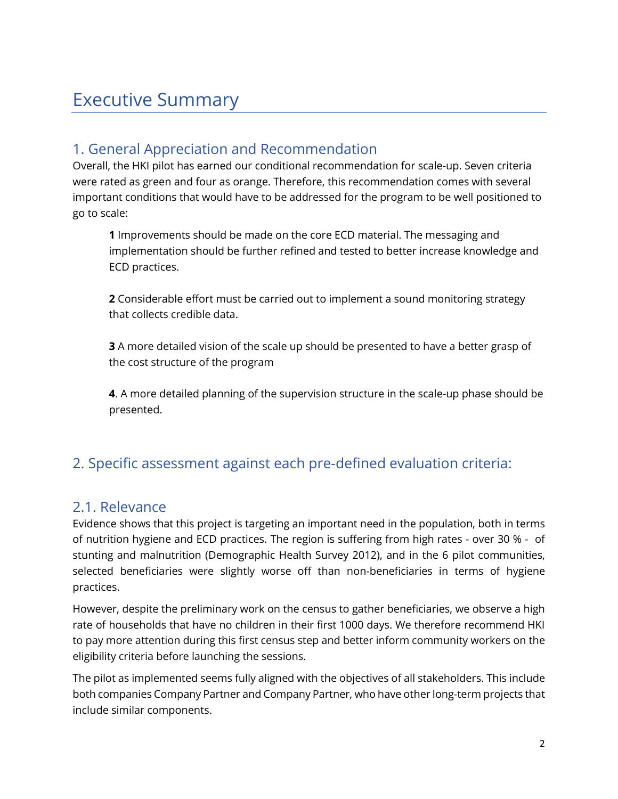# <span id="page-2-0"></span>Executive Summary

### <span id="page-2-1"></span>1. General Appreciation and Recommendation

Overall, the HKI pilot has earned our conditional recommendation for scale-up. Seven criteria were rated as green and four as orange. Therefore, this recommendation comes with several important conditions that would have to be addressed for the program to be well positioned to go to scale:

**1** Improvements should be made on the core ECD material. The messaging and implementation should be further refined and tested to better increase knowledge and ECD practices.

**2** Considerable effort must be carried out to implement a sound monitoring strategy that collects credible data.

**3** A more detailed vision of the scale up should be presented to have a better grasp of the cost structure of the program

**4**. A more detailed planning of the supervision structure in the scale-up phase should be presented.

### <span id="page-2-2"></span>2. Specific assessment against each pre-defined evaluation criteria:

### <span id="page-2-3"></span>2.1. Relevance

Evidence shows that this project is targeting an important need in the population, both in terms of nutrition hygiene and ECD practices. The region is suffering from high rates - over 30 % - of stunting and malnutrition (Demographic Health Survey 2012), and in the 6 pilot communities, selected beneficiaries were slightly worse off than non-beneficiaries in terms of hygiene practices.

However, despite the preliminary work on the census to gather beneficiaries, we observe a high rate of households that have no children in their first 1000 days. We therefore recommend HKI to pay more attention during this first census step and better inform community workers on the eligibility criteria before launching the sessions.

The pilot as implemented seems fully aligned with the objectives of all stakeholders. This include both companies Company Partner and Company Partner, who have other long-term projects that include similar components.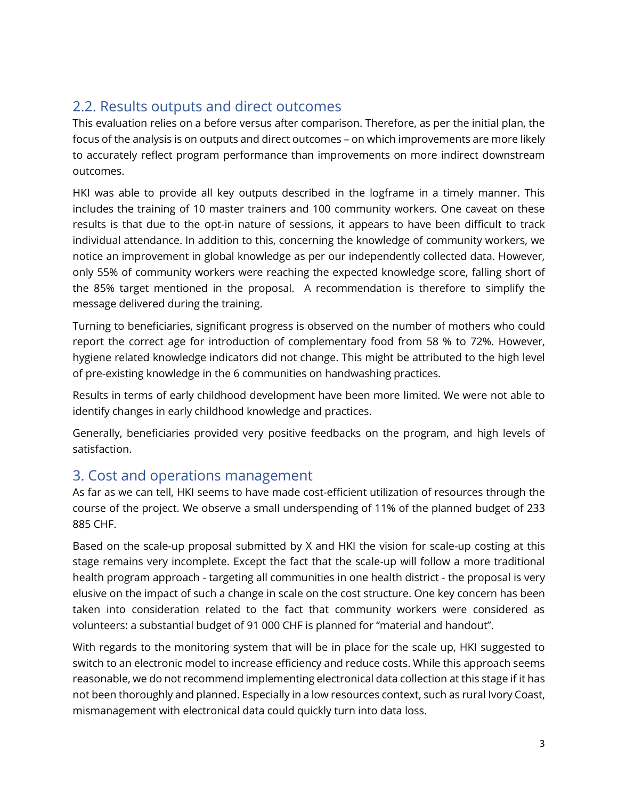### <span id="page-3-0"></span>2.2. Results outputs and direct outcomes

This evaluation relies on a before versus after comparison. Therefore, as per the initial plan, the focus of the analysis is on outputs and direct outcomes – on which improvements are more likely to accurately reflect program performance than improvements on more indirect downstream outcomes.

HKI was able to provide all key outputs described in the logframe in a timely manner. This includes the training of 10 master trainers and 100 community workers. One caveat on these results is that due to the opt-in nature of sessions, it appears to have been difficult to track individual attendance. In addition to this, concerning the knowledge of community workers, we notice an improvement in global knowledge as per our independently collected data. However, only 55% of community workers were reaching the expected knowledge score, falling short of the 85% target mentioned in the proposal. A recommendation is therefore to simplify the message delivered during the training.

Turning to beneficiaries, significant progress is observed on the number of mothers who could report the correct age for introduction of complementary food from 58 % to 72%. However, hygiene related knowledge indicators did not change. This might be attributed to the high level of pre-existing knowledge in the 6 communities on handwashing practices.

Results in terms of early childhood development have been more limited. We were not able to identify changes in early childhood knowledge and practices.

Generally, beneficiaries provided very positive feedbacks on the program, and high levels of satisfaction.

### <span id="page-3-1"></span>3. Cost and operations management

As far as we can tell, HKI seems to have made cost-efficient utilization of resources through the course of the project. We observe a small underspending of 11% of the planned budget of 233 885 CHF.

Based on the scale-up proposal submitted by X and HKI the vision for scale-up costing at this stage remains very incomplete. Except the fact that the scale-up will follow a more traditional health program approach - targeting all communities in one health district - the proposal is very elusive on the impact of such a change in scale on the cost structure. One key concern has been taken into consideration related to the fact that community workers were considered as volunteers: a substantial budget of 91 000 CHF is planned for "material and handout".

With regards to the monitoring system that will be in place for the scale up, HKI suggested to switch to an electronic model to increase efficiency and reduce costs. While this approach seems reasonable, we do not recommend implementing electronical data collection at this stage if it has not been thoroughly and planned. Especially in a low resources context, such as rural Ivory Coast, mismanagement with electronical data could quickly turn into data loss.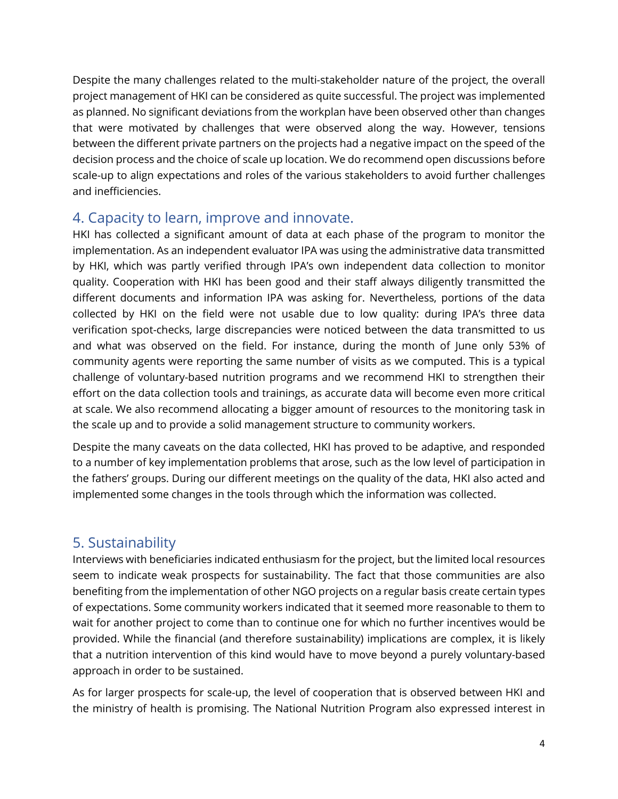Despite the many challenges related to the multi-stakeholder nature of the project, the overall project management of HKI can be considered as quite successful. The project was implemented as planned. No significant deviations from the workplan have been observed other than changes that were motivated by challenges that were observed along the way. However, tensions between the different private partners on the projects had a negative impact on the speed of the decision process and the choice of scale up location. We do recommend open discussions before scale-up to align expectations and roles of the various stakeholders to avoid further challenges and inefficiencies.

### <span id="page-4-0"></span>4. Capacity to learn, improve and innovate.

HKI has collected a significant amount of data at each phase of the program to monitor the implementation. As an independent evaluator IPA was using the administrative data transmitted by HKI, which was partly verified through IPA's own independent data collection to monitor quality. Cooperation with HKI has been good and their staff always diligently transmitted the different documents and information IPA was asking for. Nevertheless, portions of the data collected by HKI on the field were not usable due to low quality: during IPA's three data verification spot-checks, large discrepancies were noticed between the data transmitted to us and what was observed on the field. For instance, during the month of June only 53% of community agents were reporting the same number of visits as we computed. This is a typical challenge of voluntary-based nutrition programs and we recommend HKI to strengthen their effort on the data collection tools and trainings, as accurate data will become even more critical at scale. We also recommend allocating a bigger amount of resources to the monitoring task in the scale up and to provide a solid management structure to community workers.

Despite the many caveats on the data collected, HKI has proved to be adaptive, and responded to a number of key implementation problems that arose, such as the low level of participation in the fathers' groups. During our different meetings on the quality of the data, HKI also acted and implemented some changes in the tools through which the information was collected.

### <span id="page-4-1"></span>5. Sustainability

Interviews with beneficiaries indicated enthusiasm for the project, but the limited local resources seem to indicate weak prospects for sustainability. The fact that those communities are also benefiting from the implementation of other NGO projects on a regular basis create certain types of expectations. Some community workers indicated that it seemed more reasonable to them to wait for another project to come than to continue one for which no further incentives would be provided. While the financial (and therefore sustainability) implications are complex, it is likely that a nutrition intervention of this kind would have to move beyond a purely voluntary-based approach in order to be sustained.

As for larger prospects for scale-up, the level of cooperation that is observed between HKI and the ministry of health is promising. The National Nutrition Program also expressed interest in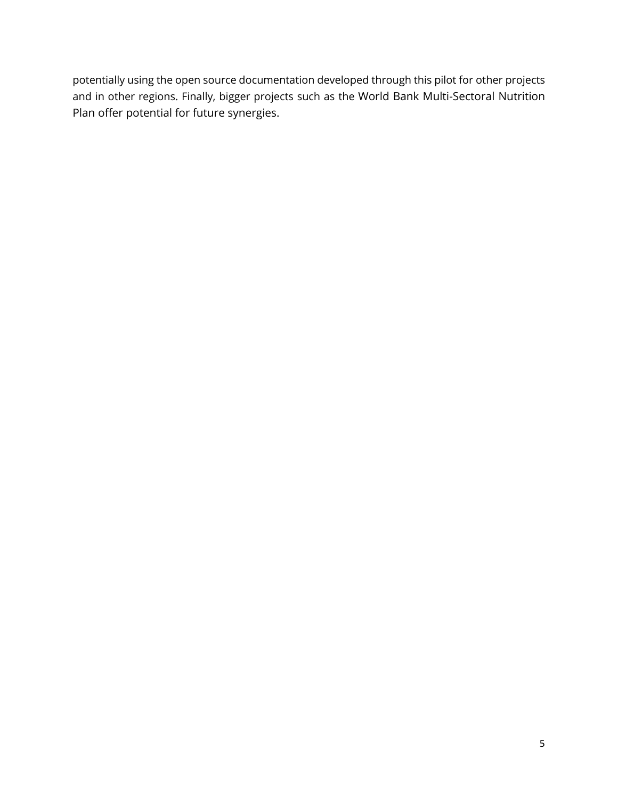potentially using the open source documentation developed through this pilot for other projects and in other regions. Finally, bigger projects such as the World Bank Multi-Sectoral Nutrition Plan offer potential for future synergies.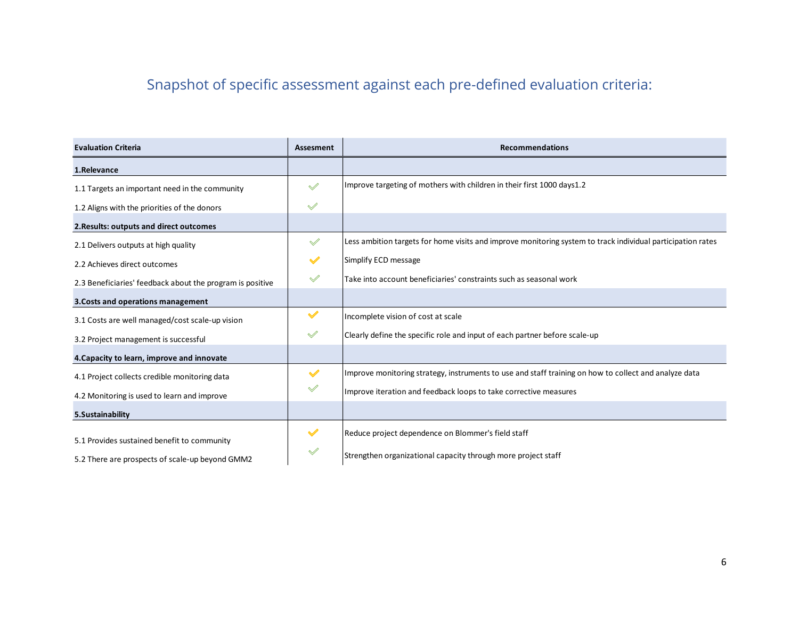# Snapshot of specific assessment against each pre-defined evaluation criteria:

<span id="page-6-0"></span>

| <b>Evaluation Criteria</b>                                | Assesment            | <b>Recommendations</b>                                                                                      |
|-----------------------------------------------------------|----------------------|-------------------------------------------------------------------------------------------------------------|
| 1.Relevance                                               |                      |                                                                                                             |
| 1.1 Targets an important need in the community            | $\mathscr A$         | Improve targeting of mothers with children in their first 1000 days 1.2                                     |
| 1.2 Aligns with the priorities of the donors              | $\mathscr{A}$        |                                                                                                             |
| 2. Results: outputs and direct outcomes                   |                      |                                                                                                             |
| 2.1 Delivers outputs at high quality                      | $\mathbb V$          | Less ambition targets for home visits and improve monitoring system to track individual participation rates |
| 2.2 Achieves direct outcomes                              | $\checkmark$         | Simplify ECD message                                                                                        |
| 2.3 Beneficiaries' feedback about the program is positive | $\mathscr{A}$        | Take into account beneficiaries' constraints such as seasonal work                                          |
| 3. Costs and operations management                        |                      |                                                                                                             |
| 3.1 Costs are well managed/cost scale-up vision           | $\blacktriangledown$ | Incomplete vision of cost at scale                                                                          |
| 3.2 Project management is successful                      | $\mathscr A$         | Clearly define the specific role and input of each partner before scale-up                                  |
| 4. Capacity to learn, improve and innovate                |                      |                                                                                                             |
| 4.1 Project collects credible monitoring data             | $\checkmark$         | Improve monitoring strategy, instruments to use and staff training on how to collect and analyze data       |
| 4.2 Monitoring is used to learn and improve               | $\mathscr{A}$        | Improve iteration and feedback loops to take corrective measures                                            |
| 5.Sustainability                                          |                      |                                                                                                             |
| 5.1 Provides sustained benefit to community               | $\checkmark$         | Reduce project dependence on Blommer's field staff                                                          |
| 5.2 There are prospects of scale-up beyond GMM2           | $\mathscr A$         | Strengthen organizational capacity through more project staff                                               |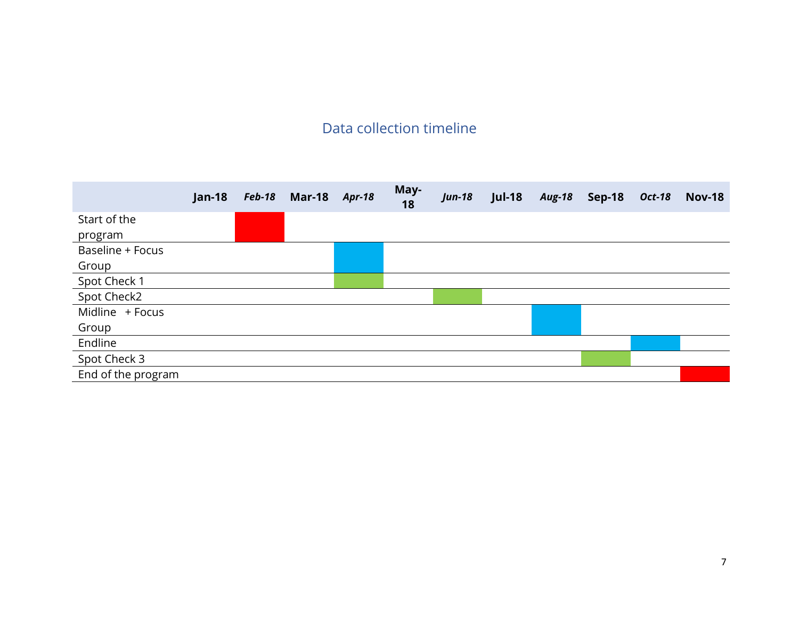# Data collection timeline

<span id="page-7-0"></span>

|                    | <b>Jan-18</b> | <b>Feb-18</b> | <b>Mar-18</b> | <b>Apr-18</b> | May-<br>18 | <b>Jun-18</b> | <b>Jul-18</b> | <b>Aug-18</b> | <b>Sep-18</b> | <b>Oct-18</b> | <b>Nov-18</b> |
|--------------------|---------------|---------------|---------------|---------------|------------|---------------|---------------|---------------|---------------|---------------|---------------|
| Start of the       |               |               |               |               |            |               |               |               |               |               |               |
| program            |               |               |               |               |            |               |               |               |               |               |               |
| Baseline + Focus   |               |               |               |               |            |               |               |               |               |               |               |
| Group              |               |               |               |               |            |               |               |               |               |               |               |
| Spot Check 1       |               |               |               |               |            |               |               |               |               |               |               |
| Spot Check2        |               |               |               |               |            |               |               |               |               |               |               |
| Midline + Focus    |               |               |               |               |            |               |               |               |               |               |               |
| Group              |               |               |               |               |            |               |               |               |               |               |               |
| Endline            |               |               |               |               |            |               |               |               |               |               |               |
| Spot Check 3       |               |               |               |               |            |               |               |               |               |               |               |
| End of the program |               |               |               |               |            |               |               |               |               |               |               |
|                    |               |               |               |               |            |               |               |               |               |               |               |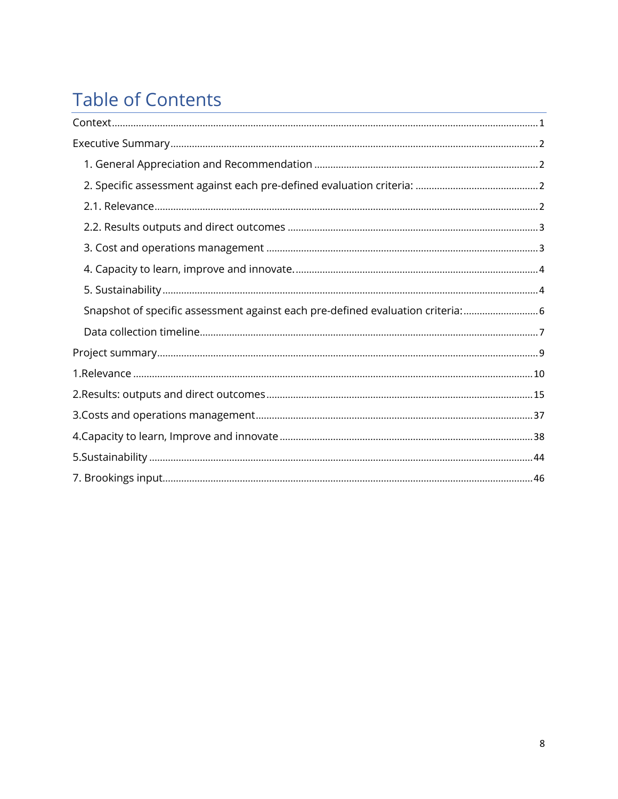# **Table of Contents**

| Snapshot of specific assessment against each pre-defined evaluation criteria:  6 |
|----------------------------------------------------------------------------------|
|                                                                                  |
|                                                                                  |
|                                                                                  |
|                                                                                  |
|                                                                                  |
|                                                                                  |
|                                                                                  |
|                                                                                  |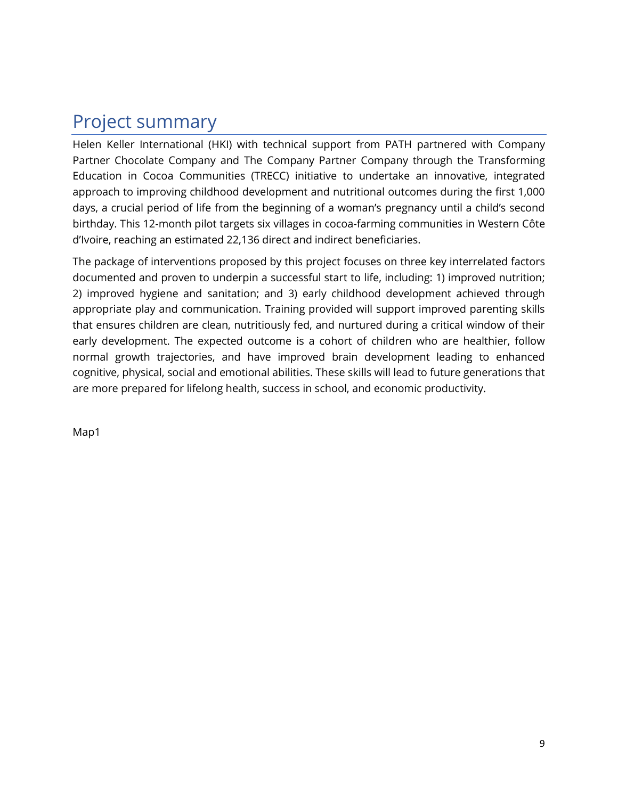# <span id="page-9-0"></span>Project summary

Helen Keller International (HKI) with technical support from PATH partnered with Company Partner Chocolate Company and The Company Partner Company through the Transforming Education in Cocoa Communities (TRECC) initiative to undertake an innovative, integrated approach to improving childhood development and nutritional outcomes during the first 1,000 days, a crucial period of life from the beginning of a woman's pregnancy until a child's second birthday. This 12-month pilot targets six villages in cocoa-farming communities in Western Côte d'Ivoire, reaching an estimated 22,136 direct and indirect beneficiaries.

The package of interventions proposed by this project focuses on three key interrelated factors documented and proven to underpin a successful start to life, including: 1) improved nutrition; 2) improved hygiene and sanitation; and 3) early childhood development achieved through appropriate play and communication. Training provided will support improved parenting skills that ensures children are clean, nutritiously fed, and nurtured during a critical window of their early development. The expected outcome is a cohort of children who are healthier, follow normal growth trajectories, and have improved brain development leading to enhanced cognitive, physical, social and emotional abilities. These skills will lead to future generations that are more prepared for lifelong health, success in school, and economic productivity.

Map1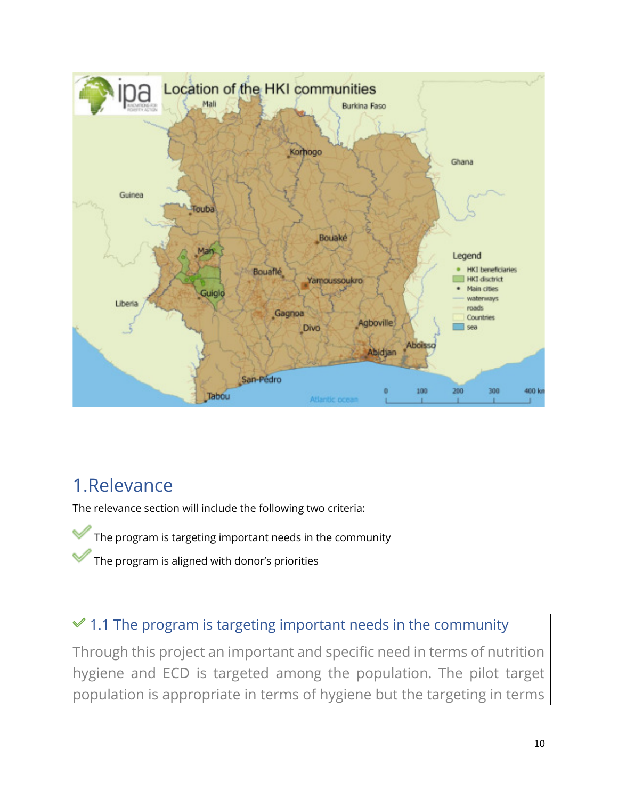

# <span id="page-10-0"></span>1.Relevance

The relevance section will include the following two criteria:

The program is targeting important needs in the community

The program is aligned with donor's priorities

# $\leq 1.1$  The program is targeting important needs in the community

Through this project an important and specific need in terms of nutrition hygiene and ECD is targeted among the population. The pilot target population is appropriate in terms of hygiene but the targeting in terms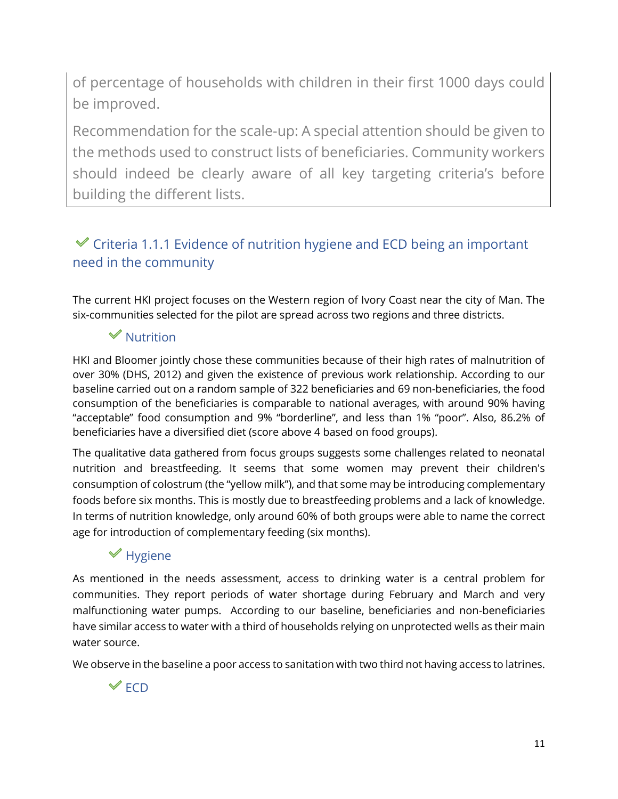of percentage of households with children in their first 1000 days could be improved.

Recommendation for the scale-up: A special attention should be given to the methods used to construct lists of beneficiaries. Community workers should indeed be clearly aware of all key targeting criteria's before building the different lists.

### $\mathcal V$  Criteria 1.1.1 Evidence of nutrition hygiene and ECD being an important need in the community

The current HKI project focuses on the Western region of Ivory Coast near the city of Man. The six-communities selected for the pilot are spread across two regions and three districts.

### $\mathscr$  Nutrition

HKI and Bloomer jointly chose these communities because of their high rates of malnutrition of over 30% (DHS, 2012) and given the existence of previous work relationship. According to our baseline carried out on a random sample of 322 beneficiaries and 69 non-beneficiaries, the food consumption of the beneficiaries is comparable to national averages, with around 90% having "acceptable" food consumption and 9% "borderline", and less than 1% "poor". Also, 86.2% of beneficiaries have a diversified diet (score above 4 based on food groups).

The qualitative data gathered from focus groups suggests some challenges related to neonatal nutrition and breastfeeding. It seems that some women may prevent their children's consumption of colostrum (the "yellow milk"), and that some may be introducing complementary foods before six months. This is mostly due to breastfeeding problems and a lack of knowledge. In terms of nutrition knowledge, only around 60% of both groups were able to name the correct age for introduction of complementary feeding (six months).

### $*$  Hygiene

As mentioned in the needs assessment, access to drinking water is a central problem for communities. They report periods of water shortage during February and March and very malfunctioning water pumps. According to our baseline, beneficiaries and non-beneficiaries have similar access to water with a third of households relying on unprotected wells as their main water source.

We observe in the baseline a poor access to sanitation with two third not having access to latrines.

 $\mathscr V$  FCD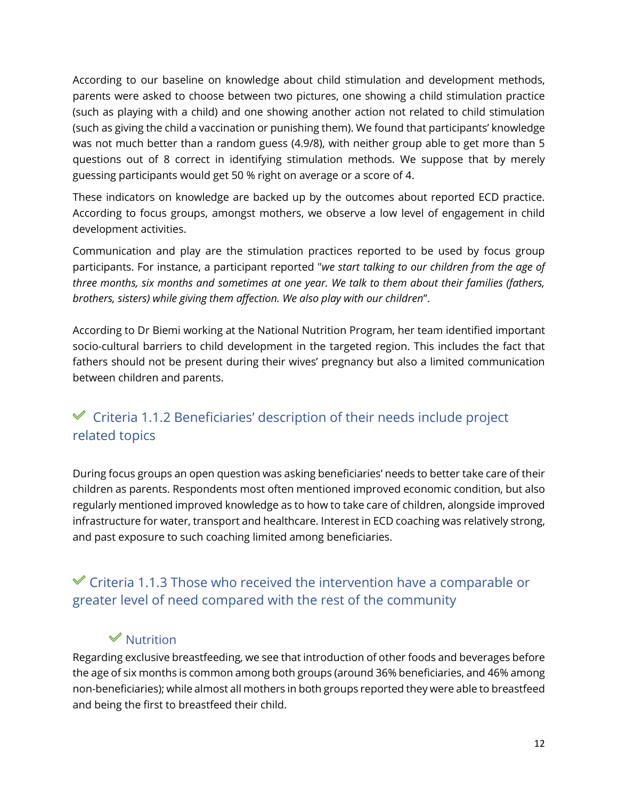According to our baseline on knowledge about child stimulation and development methods, parents were asked to choose between two pictures, one showing a child stimulation practice (such as playing with a child) and one showing another action not related to child stimulation (such as giving the child a vaccination or punishing them). We found that participants' knowledge was not much better than a random guess (4.9/8), with neither group able to get more than 5 questions out of 8 correct in identifying stimulation methods. We suppose that by merely guessing participants would get 50 % right on average or a score of 4.

These indicators on knowledge are backed up by the outcomes about reported ECD practice. According to focus groups, amongst mothers, we observe a low level of engagement in child development activities.

Communication and play are the stimulation practices reported to be used by focus group participants. For instance, a participant reported "*we start talking to our children from the age of three months, six months and sometimes at one year. We talk to them about their families (fathers, brothers, sisters) while giving them affection. We also play with our children*".

According to Dr Biemi working at the National Nutrition Program, her team identified important socio-cultural barriers to child development in the targeted region. This includes the fact that fathers should not be present during their wives' pregnancy but also a limited communication between children and parents.

### $\mathcal Y$  Criteria 1.1.2 Beneficiaries' description of their needs include project related topics

During focus groups an open question was asking beneficiaries' needs to better take care of their children as parents. Respondents most often mentioned improved economic condition, but also regularly mentioned improved knowledge as to how to take care of children, alongside improved infrastructure for water, transport and healthcare. Interest in ECD coaching was relatively strong, and past exposure to such coaching limited among beneficiaries.

### $\mathcal V$  Criteria 1.1.3 Those who received the intervention have a comparable or greater level of need compared with the rest of the community

### $\mathscr$  Nutrition

Regarding exclusive breastfeeding, we see that introduction of other foods and beverages before the age of six months is common among both groups (around 36% beneficiaries, and 46% among non-beneficiaries); while almost all mothers in both groups reported they were able to breastfeed and being the first to breastfeed their child.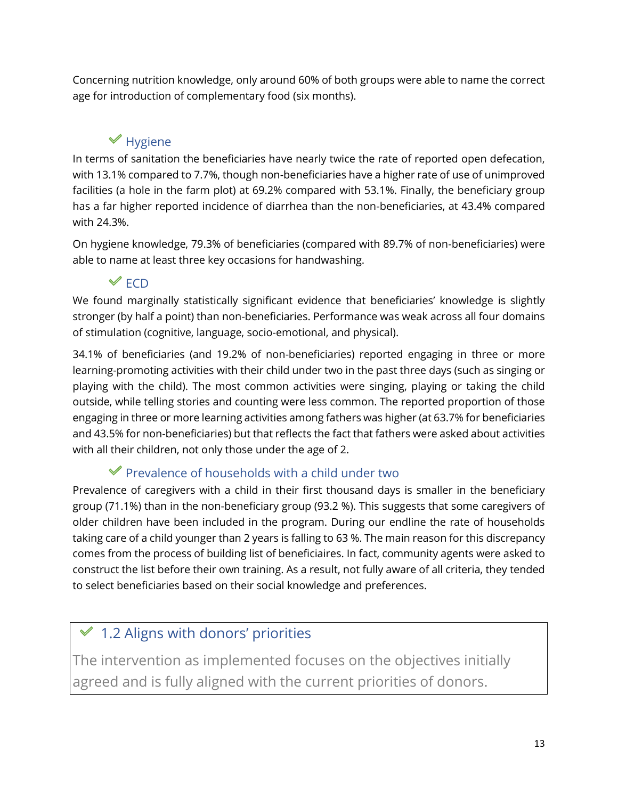Concerning nutrition knowledge, only around 60% of both groups were able to name the correct age for introduction of complementary food (six months).

## $\mathscr$  Hygiene

In terms of sanitation the beneficiaries have nearly twice the rate of reported open defecation, with 13.1% compared to 7.7%, though non-beneficiaries have a higher rate of use of unimproved facilities (a hole in the farm plot) at 69.2% compared with 53.1%. Finally, the beneficiary group has a far higher reported incidence of diarrhea than the non-beneficiaries, at 43.4% compared with 24.3%.

On hygiene knowledge, 79.3% of beneficiaries (compared with 89.7% of non-beneficiaries) were able to name at least three key occasions for handwashing.

### $\mathbb{\mathscr{C}}$  ECD

We found marginally statistically significant evidence that beneficiaries' knowledge is slightly stronger (by half a point) than non-beneficiaries. Performance was weak across all four domains of stimulation (cognitive, language, socio-emotional, and physical).

34.1% of beneficiaries (and 19.2% of non-beneficiaries) reported engaging in three or more learning-promoting activities with their child under two in the past three days (such as singing or playing with the child). The most common activities were singing, playing or taking the child outside, while telling stories and counting were less common. The reported proportion of those engaging in three or more learning activities among fathers was higher (at 63.7% for beneficiaries and 43.5% for non-beneficiaries) but that reflects the fact that fathers were asked about activities with all their children, not only those under the age of 2.

### $\mathscr V$  Prevalence of households with a child under two

Prevalence of caregivers with a child in their first thousand days is smaller in the beneficiary group (71.1%) than in the non-beneficiary group (93.2 %). This suggests that some caregivers of older children have been included in the program. During our endline the rate of households taking care of a child younger than 2 years is falling to 63 %. The main reason for this discrepancy comes from the process of building list of beneficiaires. In fact, community agents were asked to construct the list before their own training. As a result, not fully aware of all criteria, they tended to select beneficiaries based on their social knowledge and preferences.

## $\leq 1.2$  Aligns with donors' priorities

The intervention as implemented focuses on the objectives initially agreed and is fully aligned with the current priorities of donors.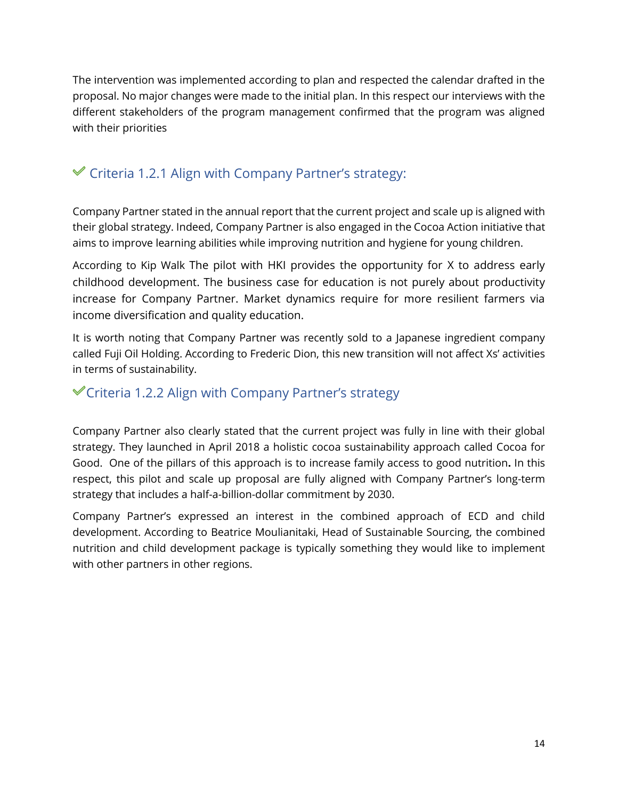The intervention was implemented according to plan and respected the calendar drafted in the proposal. No major changes were made to the initial plan. In this respect our interviews with the different stakeholders of the program management confirmed that the program was aligned with their priorities

### $\mathcal V$  Criteria 1.2.1 Align with Company Partner's strategy:

Company Partner stated in the annual report that the current project and scale up is aligned with their global strategy. Indeed, Company Partner is also engaged in the Cocoa Action initiative that aims to improve learning abilities while improving nutrition and hygiene for young children.

According to Kip Walk The pilot with HKI provides the opportunity for X to address early childhood development. The business case for education is not purely about productivity increase for Company Partner. Market dynamics require for more resilient farmers via income diversification and quality education.

It is worth noting that Company Partner was recently sold to a Japanese ingredient company called Fuji Oil Holding. According to Frederic Dion, this new transition will not affect Xs' activities in terms of sustainability.

### Criteria 1.2.2 Align with Company Partner's strategy

Company Partner also clearly stated that the current project was fully in line with their global strategy. They launched in April 2018 a holistic cocoa sustainability approach called Cocoa for Good. One of the pillars of this approach is to increase family access to good nutrition**.** In this respect, this pilot and scale up proposal are fully aligned with Company Partner's long-term strategy that includes a half-a-billion-dollar commitment by 2030.

Company Partner's expressed an interest in the combined approach of ECD and child development. According to Beatrice Moulianitaki, Head of Sustainable Sourcing, the combined nutrition and child development package is typically something they would like to implement with other partners in other regions.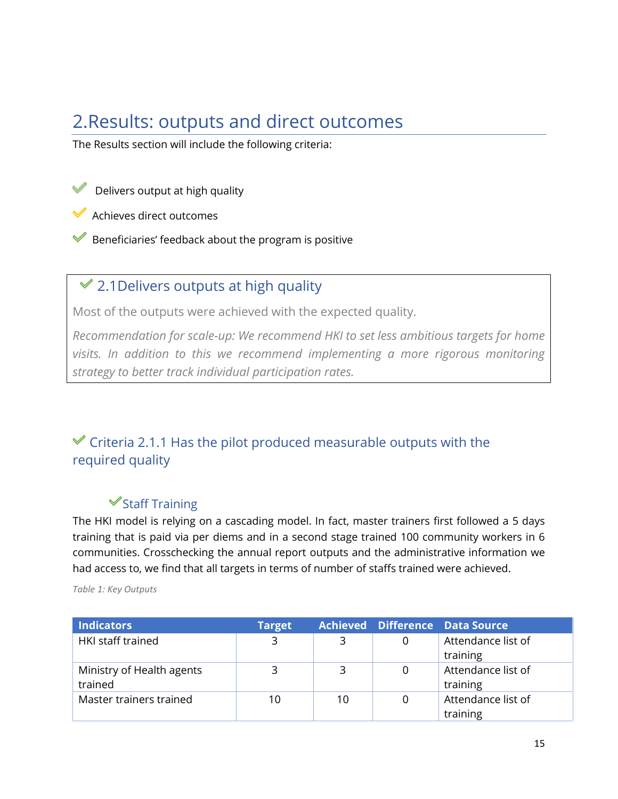# <span id="page-15-0"></span>2.Results: outputs and direct outcomes

The Results section will include the following criteria:

Delivers output at high quality

Achieves direct outcomes

Beneficiaries' feedback about the program is positive

### $\leq 2.1$  Delivers outputs at high quality

Most of the outputs were achieved with the expected quality.

*Recommendation for scale-up: We recommend HKI to set less ambitious targets for home visits. In addition to this we recommend implementing a more rigorous monitoring strategy to better track individual participation rates.* 

### $\mathcal Y$  Criteria 2.1.1 Has the pilot produced measurable outputs with the required quality

### $\triangleleft$ Staff Training

The HKI model is relying on a cascading model. In fact, master trainers first followed a 5 days training that is paid via per diems and in a second stage trained 100 community workers in 6 communities. Crosschecking the annual report outputs and the administrative information we had access to, we find that all targets in terms of number of staffs trained were achieved.

| <b>Indicators</b>                    | <b>Target</b> |    |   | Achieved Difference Data Source |
|--------------------------------------|---------------|----|---|---------------------------------|
| <b>HKI staff trained</b>             | 3             | 3  | 0 | Attendance list of<br>training  |
| Ministry of Health agents<br>trained | 3             | 3  | 0 | Attendance list of<br>training  |
| Master trainers trained              | 10            | 10 |   | Attendance list of<br>training  |

*Table 1: Key Outputs*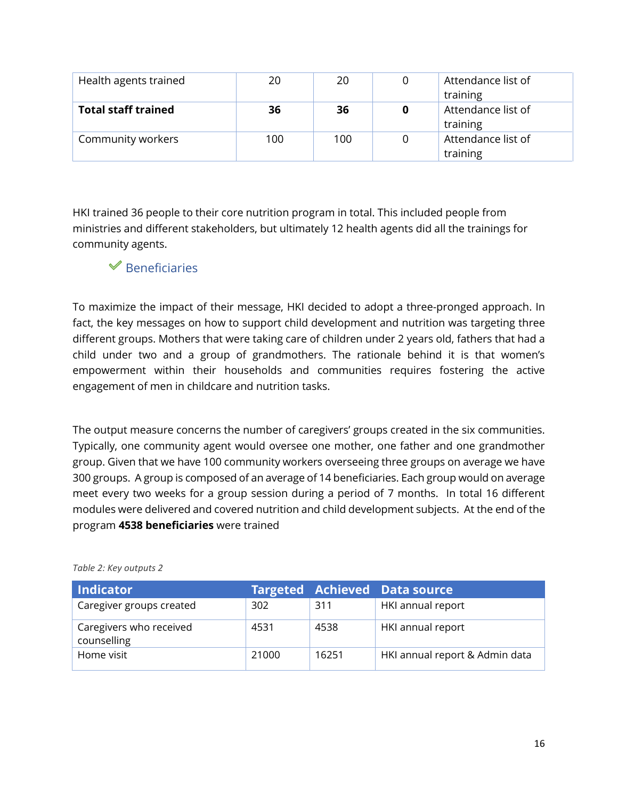| Health agents trained      | 20  | 20  | Attendance list of<br>training |
|----------------------------|-----|-----|--------------------------------|
| <b>Total staff trained</b> | 36  | 36  | Attendance list of<br>training |
| Community workers          | 100 | 100 | Attendance list of<br>training |

HKI trained 36 people to their core nutrition program in total. This included people from ministries and different stakeholders, but ultimately 12 health agents did all the trainings for community agents.

#### $\mathscr$  Beneficiaries

To maximize the impact of their message, HKI decided to adopt a three-pronged approach. In fact, the key messages on how to support child development and nutrition was targeting three different groups. Mothers that were taking care of children under 2 years old, fathers that had a child under two and a group of grandmothers. The rationale behind it is that women's empowerment within their households and communities requires fostering the active engagement of men in childcare and nutrition tasks.

The output measure concerns the number of caregivers' groups created in the six communities. Typically, one community agent would oversee one mother, one father and one grandmother group. Given that we have 100 community workers overseeing three groups on average we have 300 groups. A group is composed of an average of 14 beneficiaries. Each group would on average meet every two weeks for a group session during a period of 7 months. In total 16 different modules were delivered and covered nutrition and child development subjects. At the end of the program **4538 beneficiaries** were trained

| <b>Indicator</b>                       |       |       | <b>Targeted Achieved Data source</b> |
|----------------------------------------|-------|-------|--------------------------------------|
| Caregiver groups created               | 302   | 311   | HKI annual report                    |
| Caregivers who received<br>counselling | 4531  | 4538  | HKI annual report                    |
| Home visit                             | 21000 | 16251 | HKI annual report & Admin data       |

*Table 2: Key outputs 2*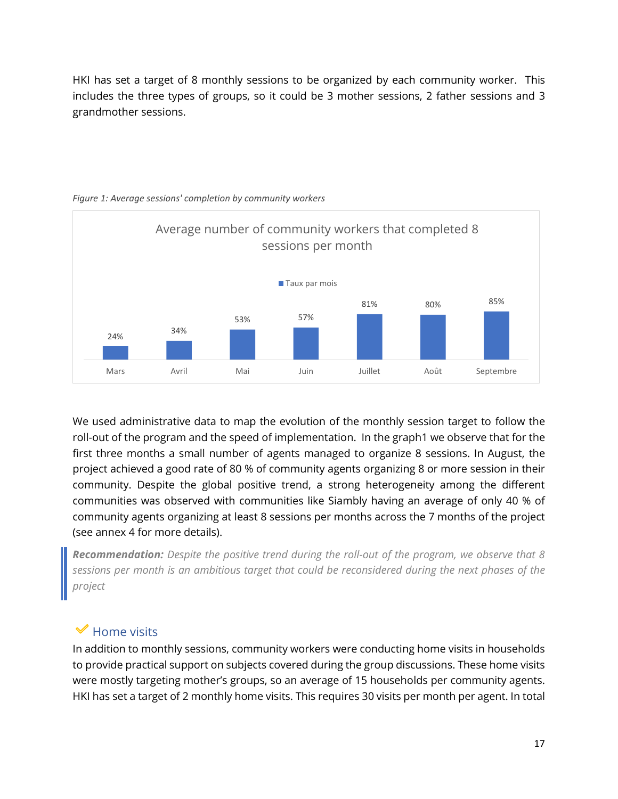HKI has set a target of 8 monthly sessions to be organized by each community worker. This includes the three types of groups, so it could be 3 mother sessions, 2 father sessions and 3 grandmother sessions.



*Figure 1: Average sessions' completion by community workers* 

We used administrative data to map the evolution of the monthly session target to follow the roll-out of the program and the speed of implementation. In the graph1 we observe that for the first three months a small number of agents managed to organize 8 sessions. In August, the project achieved a good rate of 80 % of community agents organizing 8 or more session in their community. Despite the global positive trend, a strong heterogeneity among the different communities was observed with communities like Siambly having an average of only 40 % of community agents organizing at least 8 sessions per months across the 7 months of the project (see annex 4 for more details).

*Recommendation: Despite the positive trend during the roll-out of the program, we observe that 8 sessions per month is an ambitious target that could be reconsidered during the next phases of the project* 

#### $\blacktriangleright$  Home visits

In addition to monthly sessions, community workers were conducting home visits in households to provide practical support on subjects covered during the group discussions. These home visits were mostly targeting mother's groups, so an average of 15 households per community agents. HKI has set a target of 2 monthly home visits. This requires 30 visits per month per agent. In total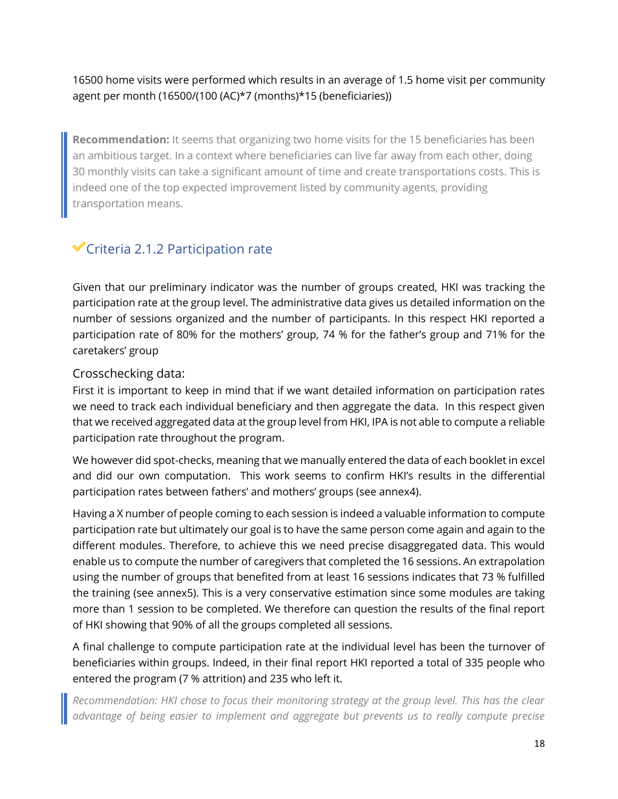16500 home visits were performed which results in an average of 1.5 home visit per community agent per month (16500/(100 (AC)\*7 (months)\*15 (beneficiaries))

**Recommendation:** It seems that organizing two home visits for the 15 beneficiaries has been an ambitious target. In a context where beneficiaries can live far away from each other, doing 30 monthly visits can take a significant amount of time and create transportations costs. This is indeed one of the top expected improvement listed by community agents, providing transportation means.

### $\checkmark$ Criteria 2.1.2 Participation rate

Given that our preliminary indicator was the number of groups created, HKI was tracking the participation rate at the group level. The administrative data gives us detailed information on the number of sessions organized and the number of participants. In this respect HKI reported a participation rate of 80% for the mothers' group, 74 % for the father's group and 71% for the caretakers' group

#### Crosschecking data:

First it is important to keep in mind that if we want detailed information on participation rates we need to track each individual beneficiary and then aggregate the data. In this respect given that we received aggregated data at the group level from HKI, IPA is not able to compute a reliable participation rate throughout the program.

We however did spot-checks, meaning that we manually entered the data of each booklet in excel and did our own computation. This work seems to confirm HKI's results in the differential participation rates between fathers' and mothers' groups (see annex4).

Having a X number of people coming to each session is indeed a valuable information to compute participation rate but ultimately our goal is to have the same person come again and again to the different modules. Therefore, to achieve this we need precise disaggregated data. This would enable us to compute the number of caregivers that completed the 16 sessions. An extrapolation using the number of groups that benefited from at least 16 sessions indicates that 73 % fulfilled the training (see annex5). This is a very conservative estimation since some modules are taking more than 1 session to be completed. We therefore can question the results of the final report of HKI showing that 90% of all the groups completed all sessions.

A final challenge to compute participation rate at the individual level has been the turnover of beneficiaries within groups. Indeed, in their final report HKI reported a total of 335 people who entered the program (7 % attrition) and 235 who left it.

*Recommendation: HKI chose to focus their monitoring strategy at the group level. This has the clear advantage of being easier to implement and aggregate but prevents us to really compute precise*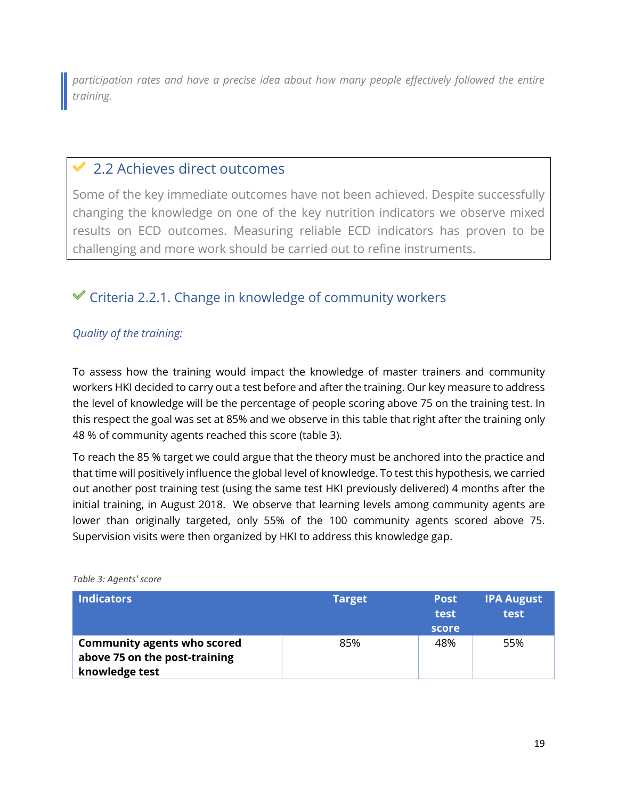*participation rates and have a precise idea about how many people effectively followed the entire training.* 

### 2.2 Achieves direct outcomes

Some of the key immediate outcomes have not been achieved. Despite successfully changing the knowledge on one of the key nutrition indicators we observe mixed results on ECD outcomes. Measuring reliable ECD indicators has proven to be challenging and more work should be carried out to refine instruments.

### $\mathcal Y$  Criteria 2.2.1. Change in knowledge of community workers

#### *Quality of the training:*

To assess how the training would impact the knowledge of master trainers and community workers HKI decided to carry out a test before and after the training. Our key measure to address the level of knowledge will be the percentage of people scoring above 75 on the training test. In this respect the goal was set at 85% and we observe in this table that right after the training only 48 % of community agents reached this score (table 3).

To reach the 85 % target we could argue that the theory must be anchored into the practice and that time will positively influence the global level of knowledge. To test this hypothesis, we carried out another post training test (using the same test HKI previously delivered) 4 months after the initial training, in August 2018. We observe that learning levels among community agents are lower than originally targeted, only 55% of the 100 community agents scored above 75. Supervision visits were then organized by HKI to address this knowledge gap.

| <b>Indicators</b>                                                                     | <b>Target</b> | <b>Post</b><br>test<br>score | <b>IPA August</b><br>test |
|---------------------------------------------------------------------------------------|---------------|------------------------------|---------------------------|
| <b>Community agents who scored</b><br>above 75 on the post-training<br>knowledge test | 85%           | 48%                          | 55%                       |

*Table 3: Agents' score*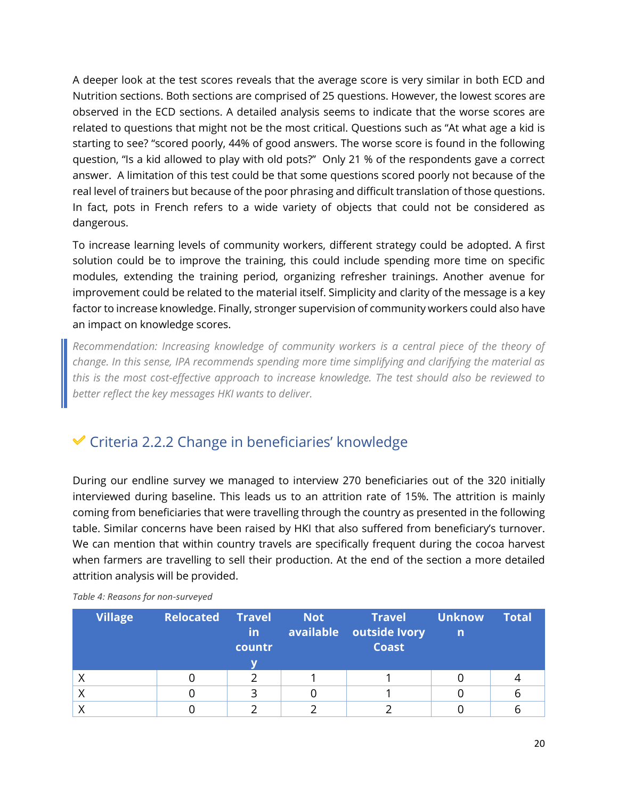A deeper look at the test scores reveals that the average score is very similar in both ECD and Nutrition sections. Both sections are comprised of 25 questions. However, the lowest scores are observed in the ECD sections. A detailed analysis seems to indicate that the worse scores are related to questions that might not be the most critical. Questions such as "At what age a kid is starting to see? "scored poorly, 44% of good answers. The worse score is found in the following question, "Is a kid allowed to play with old pots?" Only 21 % of the respondents gave a correct answer. A limitation of this test could be that some questions scored poorly not because of the real level of trainers but because of the poor phrasing and difficult translation of those questions. In fact, pots in French refers to a wide variety of objects that could not be considered as dangerous.

To increase learning levels of community workers, different strategy could be adopted. A first solution could be to improve the training, this could include spending more time on specific modules, extending the training period, organizing refresher trainings. Another avenue for improvement could be related to the material itself. Simplicity and clarity of the message is a key factor to increase knowledge. Finally, stronger supervision of community workers could also have an impact on knowledge scores.

*Recommendation: Increasing knowledge of community workers is a central piece of the theory of change. In this sense, IPA recommends spending more time simplifying and clarifying the material as this is the most cost-effective approach to increase knowledge. The test should also be reviewed to better reflect the key messages HKI wants to deliver.* 

### $\checkmark$  Criteria 2.2.2 Change in beneficiaries' knowledge

During our endline survey we managed to interview 270 beneficiaries out of the 320 initially interviewed during baseline. This leads us to an attrition rate of 15%. The attrition is mainly coming from beneficiaries that were travelling through the country as presented in the following table. Similar concerns have been raised by HKI that also suffered from beneficiary's turnover. We can mention that within country travels are specifically frequent during the cocoa harvest when farmers are travelling to sell their production. At the end of the section a more detailed attrition analysis will be provided.

| <b>Village</b> | <b>Relocated Travel</b> | <b>in</b><br>countr | <b>Not</b> | Travel<br>available outside Ivory<br><b>Coast</b> | <b>Unknow</b><br>$\mathsf{n}$ | <b>Total</b> |
|----------------|-------------------------|---------------------|------------|---------------------------------------------------|-------------------------------|--------------|
|                |                         |                     |            |                                                   |                               |              |
|                |                         |                     |            |                                                   |                               |              |
|                |                         | ิว                  |            |                                                   |                               | о            |
|                |                         |                     |            |                                                   |                               |              |

*Table 4: Reasons for non-surveyed*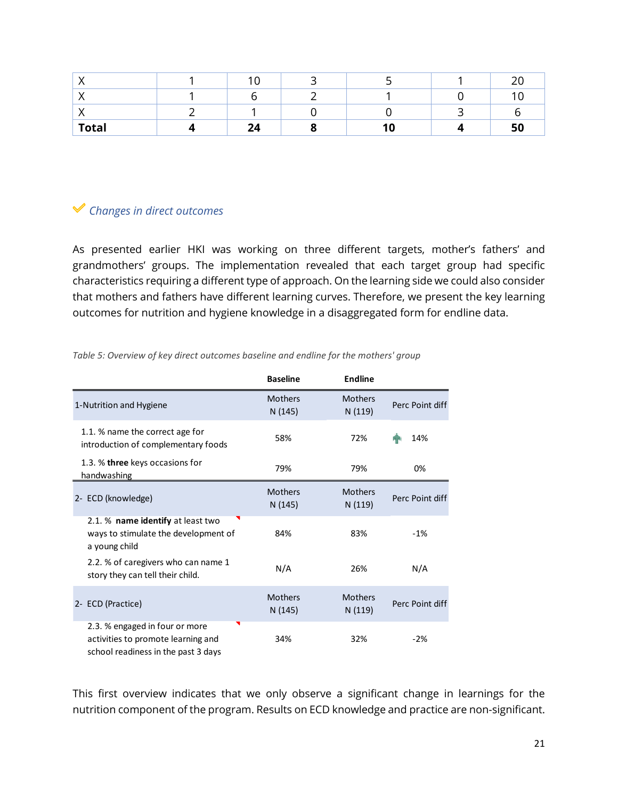|              | $\sim$  |  | ົາ<br>∠⊾ |
|--------------|---------|--|----------|
|              |         |  |          |
|              |         |  |          |
| <b>Total</b> | 24<br>⊷ |  | 50       |

### *Changes in direct outcomes*

As presented earlier HKI was working on three different targets, mother's fathers' and grandmothers' groups. The implementation revealed that each target group had specific characteristics requiring a different type of approach. On the learning side we could also consider that mothers and fathers have different learning curves. Therefore, we present the key learning outcomes for nutrition and hygiene knowledge in a disaggregated form for endline data.

|                                                                                                             | <b>Baseline</b>           | <b>Endline</b>            |                 |
|-------------------------------------------------------------------------------------------------------------|---------------------------|---------------------------|-----------------|
| 1-Nutrition and Hygiene                                                                                     | <b>Mothers</b><br>N (145) | <b>Mothers</b><br>N (119) | Perc Point diff |
| 1.1. % name the correct age for<br>introduction of complementary foods                                      | 58%                       | 72%                       | 14%             |
| 1.3. % three keys occasions for<br>handwashing                                                              | 79%                       | 79%                       | 0%              |
| 2- ECD (knowledge)                                                                                          | <b>Mothers</b><br>N (145) | <b>Mothers</b><br>N (119) | Perc Point diff |
| 2.1. % name identify at least two<br>ways to stimulate the development of<br>a young child                  | 84%                       | 83%                       | $-1%$           |
| 2.2. % of caregivers who can name 1<br>story they can tell their child.                                     | N/A                       | 26%                       | N/A             |
| 2- ECD (Practice)                                                                                           | <b>Mothers</b><br>N (145) | <b>Mothers</b><br>N (119) | Perc Point diff |
| 2.3. % engaged in four or more<br>activities to promote learning and<br>school readiness in the past 3 days | 34%                       | 32%                       | $-2%$           |

*Table 5: Overview of key direct outcomes baseline and endline for the mothers' group* 

This first overview indicates that we only observe a significant change in learnings for the nutrition component of the program. Results on ECD knowledge and practice are non-significant.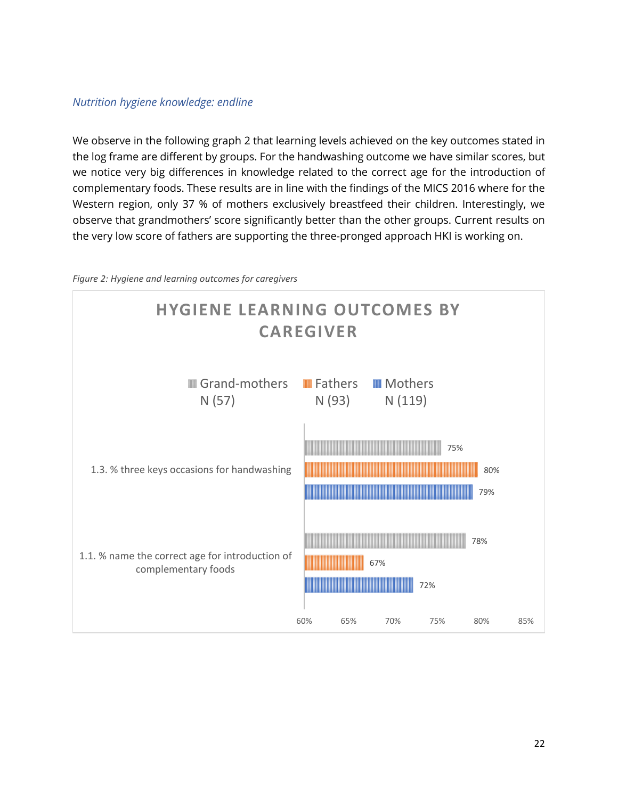#### *Nutrition hygiene knowledge: endline*

We observe in the following graph 2 that learning levels achieved on the key outcomes stated in the log frame are different by groups. For the handwashing outcome we have similar scores, but we notice very big differences in knowledge related to the correct age for the introduction of complementary foods. These results are in line with the findings of the MICS 2016 where for the Western region, only 37 % of mothers exclusively breastfeed their children. Interestingly, we observe that grandmothers' score significantly better than the other groups. Current results on the very low score of fathers are supporting the three-pronged approach HKI is working on.



*Figure 2: Hygiene and learning outcomes for caregivers*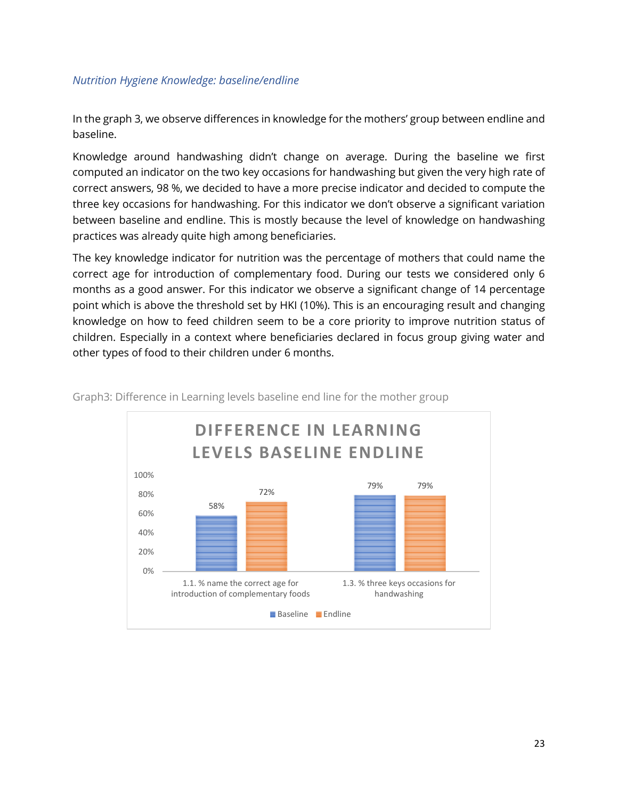#### *Nutrition Hygiene Knowledge: baseline/endline*

In the graph 3, we observe differences in knowledge for the mothers' group between endline and baseline.

Knowledge around handwashing didn't change on average. During the baseline we first computed an indicator on the two key occasions for handwashing but given the very high rate of correct answers, 98 %, we decided to have a more precise indicator and decided to compute the three key occasions for handwashing. For this indicator we don't observe a significant variation between baseline and endline. This is mostly because the level of knowledge on handwashing practices was already quite high among beneficiaries.

The key knowledge indicator for nutrition was the percentage of mothers that could name the correct age for introduction of complementary food. During our tests we considered only 6 months as a good answer. For this indicator we observe a significant change of 14 percentage point which is above the threshold set by HKI (10%). This is an encouraging result and changing knowledge on how to feed children seem to be a core priority to improve nutrition status of children. Especially in a context where beneficiaries declared in focus group giving water and other types of food to their children under 6 months.



Graph3: Difference in Learning levels baseline end line for the mother group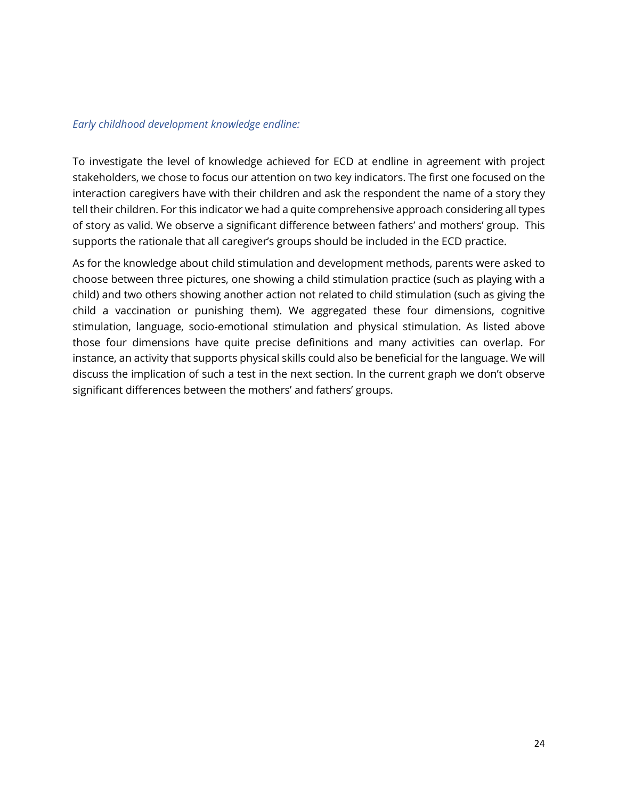#### *Early childhood development knowledge endline:*

To investigate the level of knowledge achieved for ECD at endline in agreement with project stakeholders, we chose to focus our attention on two key indicators. The first one focused on the interaction caregivers have with their children and ask the respondent the name of a story they tell their children. For this indicator we had a quite comprehensive approach considering all types of story as valid. We observe a significant difference between fathers' and mothers' group. This supports the rationale that all caregiver's groups should be included in the ECD practice.

As for the knowledge about child stimulation and development methods, parents were asked to choose between three pictures, one showing a child stimulation practice (such as playing with a child) and two others showing another action not related to child stimulation (such as giving the child a vaccination or punishing them). We aggregated these four dimensions, cognitive stimulation, language, socio-emotional stimulation and physical stimulation. As listed above those four dimensions have quite precise definitions and many activities can overlap. For instance, an activity that supports physical skills could also be beneficial for the language. We will discuss the implication of such a test in the next section. In the current graph we don't observe significant differences between the mothers' and fathers' groups.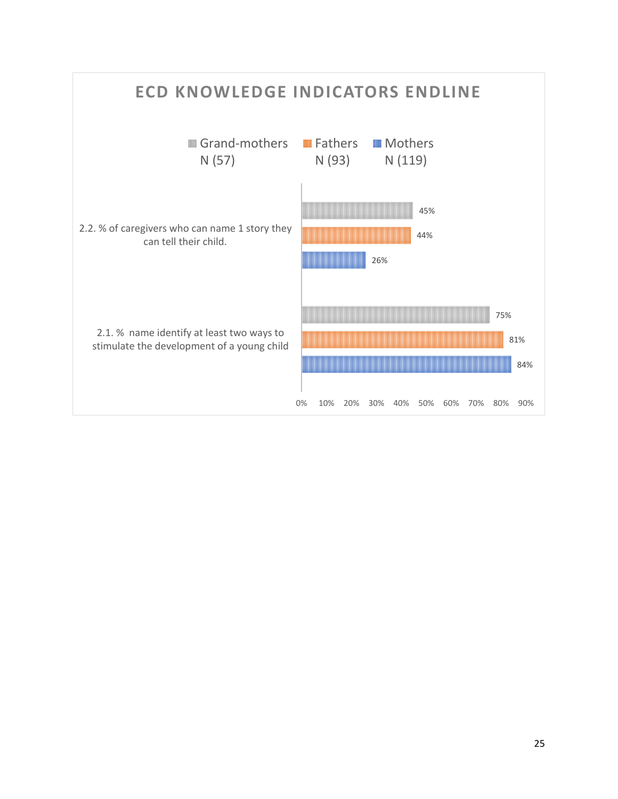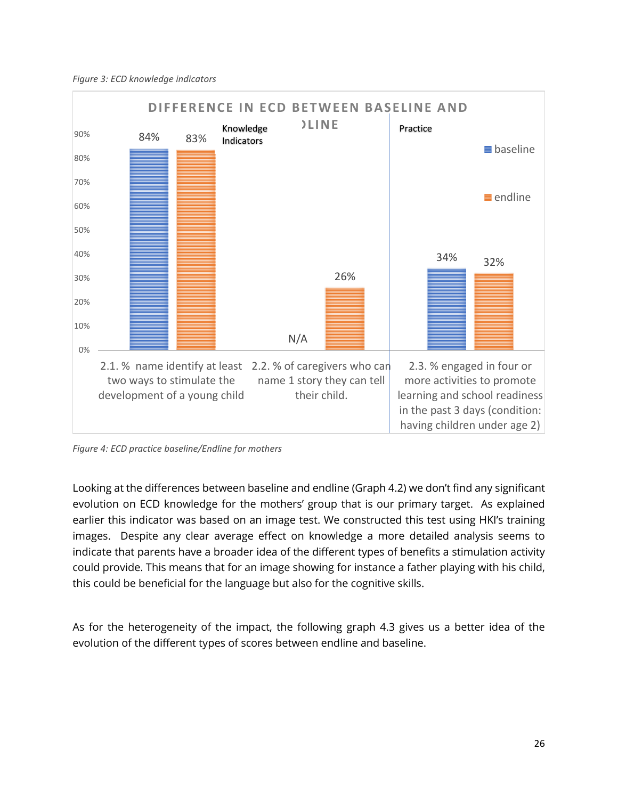*Figure 3: ECD knowledge indicators*



*Figure 4: ECD practice baseline/Endline for mothers* 

Looking at the differences between baseline and endline (Graph 4.2) we don't find any significant evolution on ECD knowledge for the mothers' group that is our primary target. As explained earlier this indicator was based on an image test. We constructed this test using HKI's training images. Despite any clear average effect on knowledge a more detailed analysis seems to indicate that parents have a broader idea of the different types of benefits a stimulation activity could provide. This means that for an image showing for instance a father playing with his child, this could be beneficial for the language but also for the cognitive skills.

As for the heterogeneity of the impact, the following graph 4.3 gives us a better idea of the evolution of the different types of scores between endline and baseline.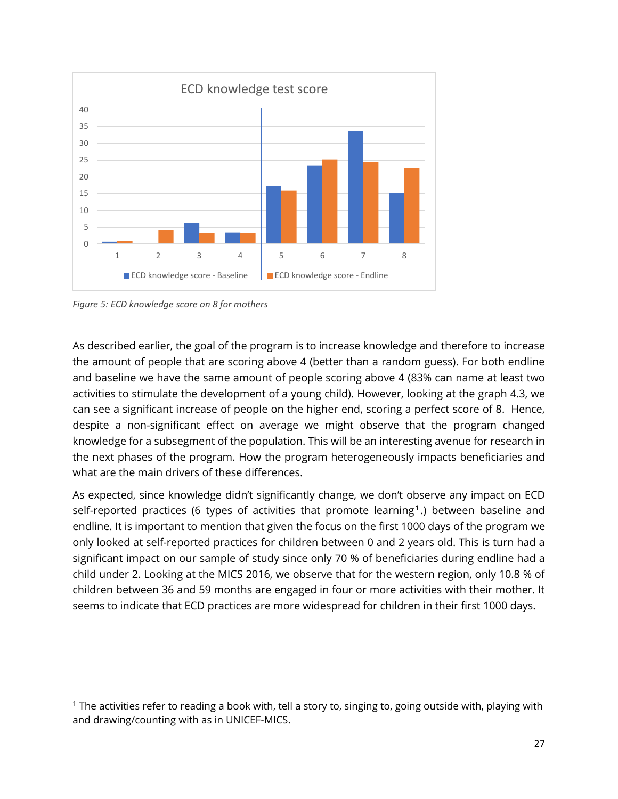

*Figure 5: ECD knowledge score on 8 for mothers*

As described earlier, the goal of the program is to increase knowledge and therefore to increase the amount of people that are scoring above 4 (better than a random guess). For both endline and baseline we have the same amount of people scoring above 4 (83% can name at least two activities to stimulate the development of a young child). However, looking at the graph 4.3, we can see a significant increase of people on the higher end, scoring a perfect score of 8. Hence, despite a non-significant effect on average we might observe that the program changed knowledge for a subsegment of the population. This will be an interesting avenue for research in the next phases of the program. How the program heterogeneously impacts beneficiaries and what are the main drivers of these differences.

As expected, since knowledge didn't significantly change, we don't observe any impact on ECD self-reported practices (6 types of activities that promote learning $^1$ .) between baseline and endline. It is important to mention that given the focus on the first 1000 days of the program we only looked at self-reported practices for children between 0 and 2 years old. This is turn had a significant impact on our sample of study since only 70 % of beneficiaries during endline had a child under 2. Looking at the MICS 2016, we observe that for the western region, only 10.8 % of children between 36 and 59 months are engaged in four or more activities with their mother. It seems to indicate that ECD practices are more widespread for children in their first 1000 days.

<sup>1</sup> The activities refer to reading a book with, tell a story to, singing to, going outside with, playing with and drawing/counting with as in UNICEF-MICS.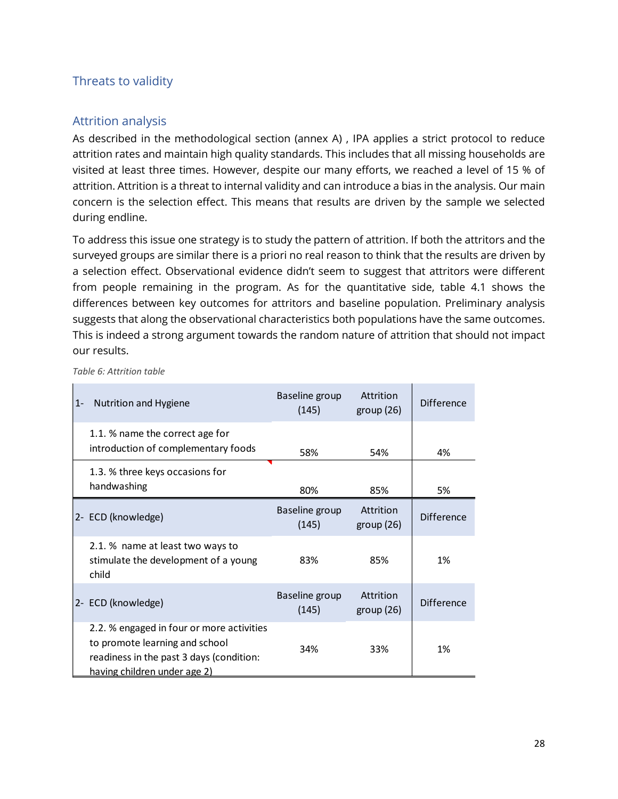#### Threats to validity

#### Attrition analysis

As described in the methodological section (annex A) , IPA applies a strict protocol to reduce attrition rates and maintain high quality standards. This includes that all missing households are visited at least three times. However, despite our many efforts, we reached a level of 15 % of attrition. Attrition is a threat to internal validity and can introduce a bias in the analysis. Our main concern is the selection effect. This means that results are driven by the sample we selected during endline.

To address this issue one strategy is to study the pattern of attrition. If both the attritors and the surveyed groups are similar there is a priori no real reason to think that the results are driven by a selection effect. Observational evidence didn't seem to suggest that attritors were different from people remaining in the program. As for the quantitative side, table 4.1 shows the differences between key outcomes for attritors and baseline population. Preliminary analysis suggests that along the observational characteristics both populations have the same outcomes. This is indeed a strong argument towards the random nature of attrition that should not impact our results.

| $1 -$ | Nutrition and Hygiene                                                                                                                                   | Baseline group<br>(145) | Attrition<br>group(26) | <b>Difference</b> |
|-------|---------------------------------------------------------------------------------------------------------------------------------------------------------|-------------------------|------------------------|-------------------|
|       | 1.1. % name the correct age for<br>introduction of complementary foods                                                                                  | 58%                     | 54%                    | 4%                |
|       | 1.3. % three keys occasions for<br>handwashing                                                                                                          | 80%                     | 85%                    | 5%                |
|       | 2- ECD (knowledge)                                                                                                                                      | Baseline group<br>(145) | Attrition<br>group(26) | <b>Difference</b> |
|       | 2.1. % name at least two ways to<br>stimulate the development of a young<br>child                                                                       | 83%                     | 85%                    | 1%                |
|       | 2- ECD (knowledge)                                                                                                                                      | Baseline group<br>(145) | Attrition<br>group(26) | <b>Difference</b> |
|       | 2.2. % engaged in four or more activities<br>to promote learning and school<br>readiness in the past 3 days (condition:<br>having children under age 2) | 34%                     | 33%                    | 1%                |

*Table 6: Attrition table*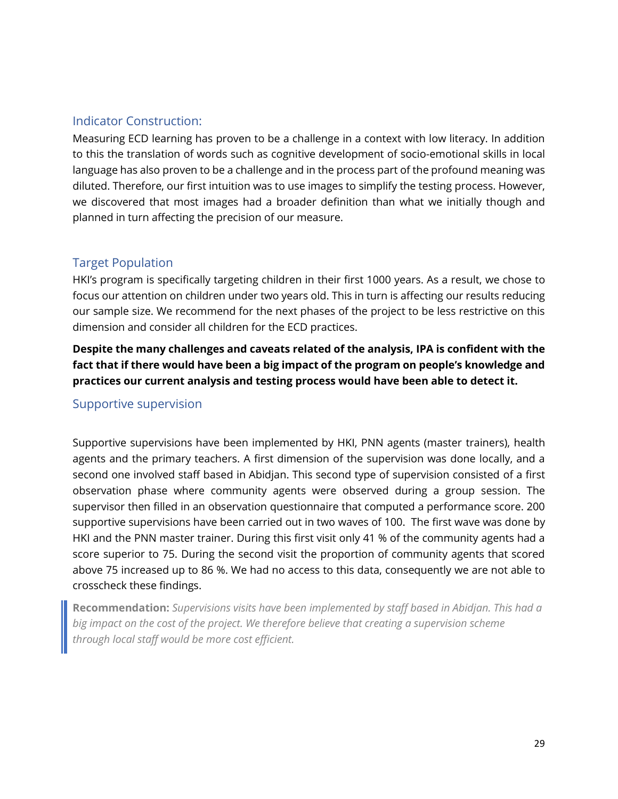#### Indicator Construction:

Measuring ECD learning has proven to be a challenge in a context with low literacy. In addition to this the translation of words such as cognitive development of socio-emotional skills in local language has also proven to be a challenge and in the process part of the profound meaning was diluted. Therefore, our first intuition was to use images to simplify the testing process. However, we discovered that most images had a broader definition than what we initially though and planned in turn affecting the precision of our measure.

#### Target Population

HKI's program is specifically targeting children in their first 1000 years. As a result, we chose to focus our attention on children under two years old. This in turn is affecting our results reducing our sample size. We recommend for the next phases of the project to be less restrictive on this dimension and consider all children for the ECD practices.

**Despite the many challenges and caveats related of the analysis, IPA is confident with the fact that if there would have been a big impact of the program on people's knowledge and practices our current analysis and testing process would have been able to detect it.**

#### Supportive supervision

Supportive supervisions have been implemented by HKI, PNN agents (master trainers), health agents and the primary teachers. A first dimension of the supervision was done locally, and a second one involved staff based in Abidjan. This second type of supervision consisted of a first observation phase where community agents were observed during a group session. The supervisor then filled in an observation questionnaire that computed a performance score. 200 supportive supervisions have been carried out in two waves of 100. The first wave was done by HKI and the PNN master trainer. During this first visit only 41 % of the community agents had a score superior to 75. During the second visit the proportion of community agents that scored above 75 increased up to 86 %. We had no access to this data, consequently we are not able to crosscheck these findings.

**Recommendation:** *Supervisions visits have been implemented by staff based in Abidjan. This had a big impact on the cost of the project. We therefore believe that creating a supervision scheme through local staff would be more cost efficient.*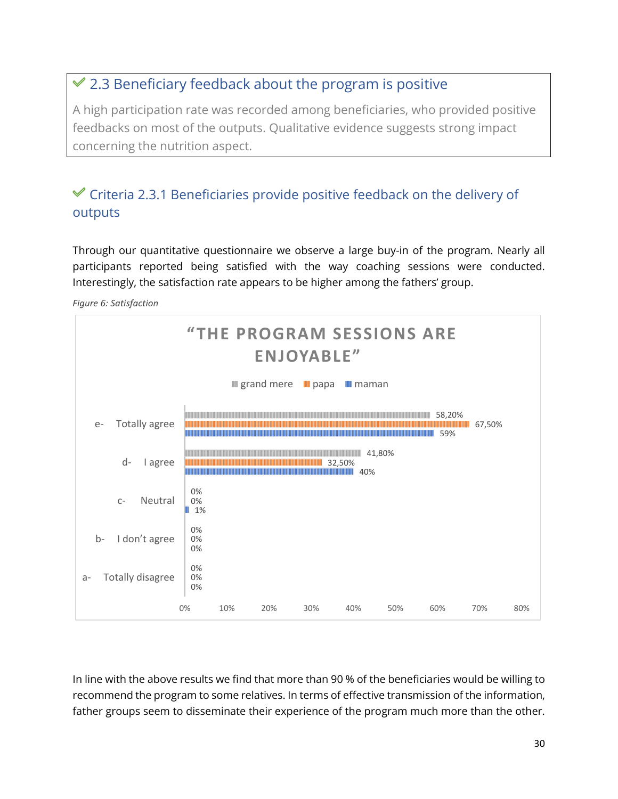### 2.3 Beneficiary feedback about the program is positive

A high participation rate was recorded among beneficiaries, who provided positive feedbacks on most of the outputs. Qualitative evidence suggests strong impact concerning the nutrition aspect.

### $\mathcal V$  Criteria 2.3.1 Beneficiaries provide positive feedback on the delivery of outputs

Through our quantitative questionnaire we observe a large buy-in of the program. Nearly all participants reported being satisfied with the way coaching sessions were conducted. Interestingly, the satisfaction rate appears to be higher among the fathers' group.

*Figure 6: Satisfaction*



In line with the above results we find that more than 90 % of the beneficiaries would be willing to recommend the program to some relatives. In terms of effective transmission of the information, father groups seem to disseminate their experience of the program much more than the other.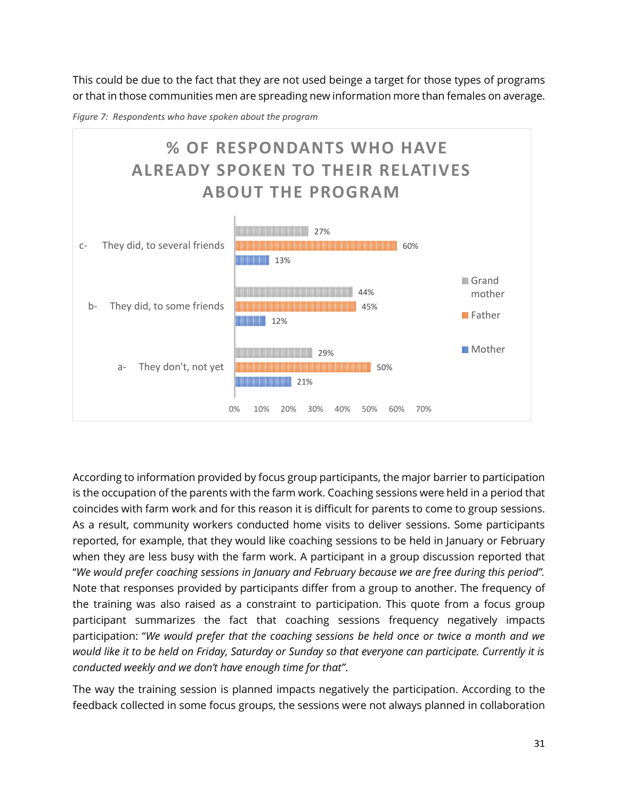This could be due to the fact that they are not used beinge a target for those types of programs or that in those communities men are spreading new information more than females on average.





According to information provided by focus group participants, the major barrier to participation is the occupation of the parents with the farm work. Coaching sessions were held in a period that coincides with farm work and for this reason it is difficult for parents to come to group sessions. As a result, community workers conducted home visits to deliver sessions. Some participants reported, for example, that they would like coaching sessions to be held in January or February when they are less busy with the farm work. A participant in a group discussion reported that "*We would prefer coaching sessions in January and February because we are free during this period".*  Note that responses provided by participants differ from a group to another. The frequency of the training was also raised as a constraint to participation. This quote from a focus group participant summarizes the fact that coaching sessions frequency negatively impacts participation: "*We would prefer that the coaching sessions be held once or twice a month and we would like it to be held on Friday, Saturday or Sunday so that everyone can participate. Currently it is conducted weekly and we don't have enough time for that"*.

The way the training session is planned impacts negatively the participation. According to the feedback collected in some focus groups, the sessions were not always planned in collaboration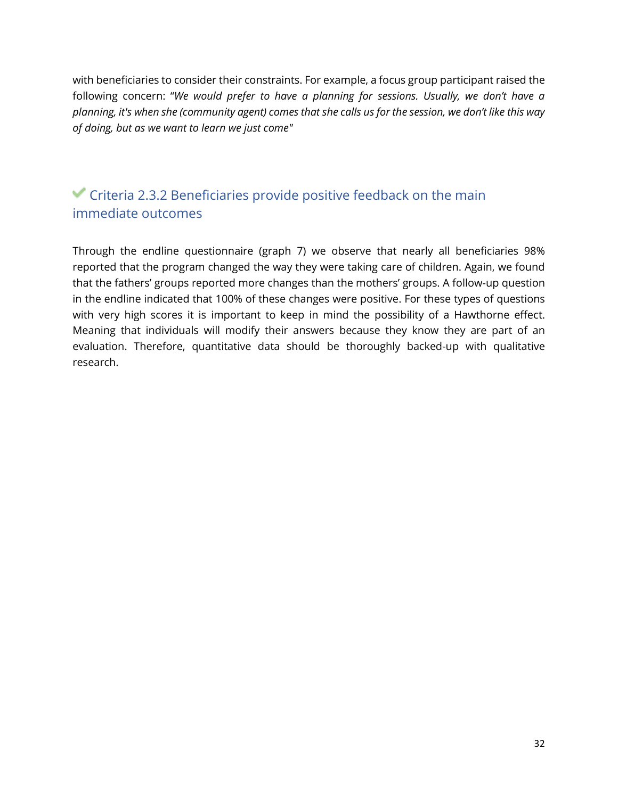with beneficiaries to consider their constraints. For example, a focus group participant raised the following concern: "*We would prefer to have a planning for sessions. Usually, we don't have a planning, it's when she (community agent) comes that she calls us for the session, we don't like this way of doing, but as we want to learn we just come"*

### $\blacktriangledown$  Criteria 2.3.2 Beneficiaries provide positive feedback on the main immediate outcomes

Through the endline questionnaire (graph 7) we observe that nearly all beneficiaries 98% reported that the program changed the way they were taking care of children. Again, we found that the fathers' groups reported more changes than the mothers' groups. A follow-up question in the endline indicated that 100% of these changes were positive. For these types of questions with very high scores it is important to keep in mind the possibility of a Hawthorne effect. Meaning that individuals will modify their answers because they know they are part of an evaluation. Therefore, quantitative data should be thoroughly backed-up with qualitative research.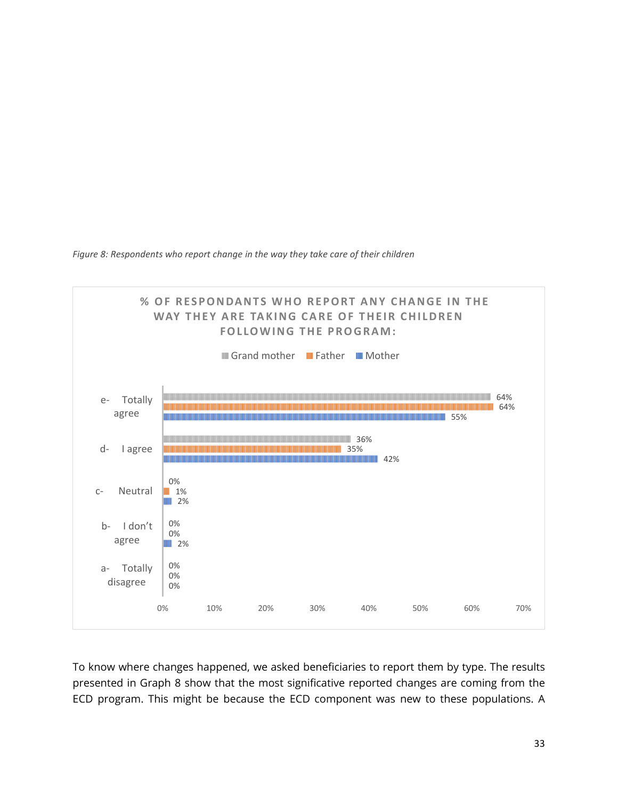*Figure 8: Respondents who report change in the way they take care of their children* 



To know where changes happened, we asked beneficiaries to report them by type. The results presented in Graph 8 show that the most significative reported changes are coming from the ECD program. This might be because the ECD component was new to these populations. A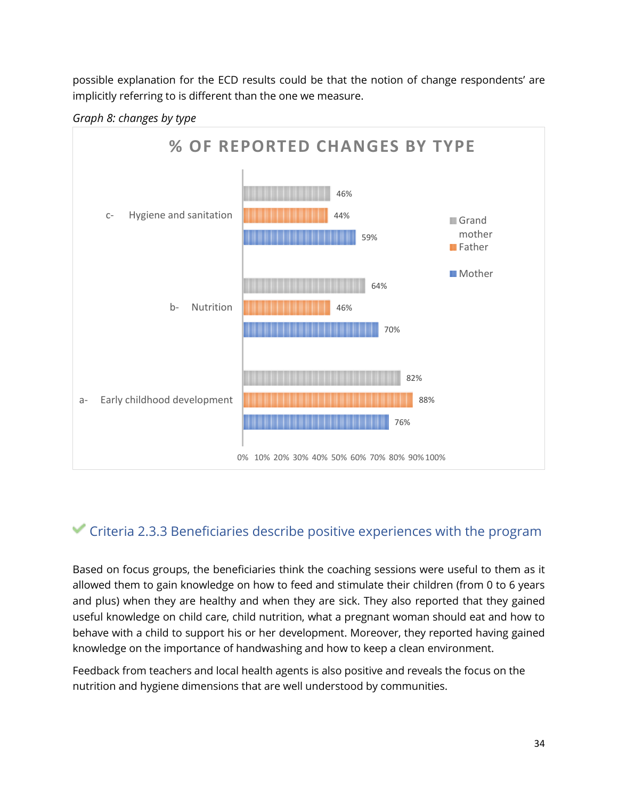possible explanation for the ECD results could be that the notion of change respondents' are implicitly referring to is different than the one we measure.





### Criteria 2.3.3 Beneficiaries describe positive experiences with the program

Based on focus groups, the beneficiaries think the coaching sessions were useful to them as it allowed them to gain knowledge on how to feed and stimulate their children (from 0 to 6 years and plus) when they are healthy and when they are sick. They also reported that they gained useful knowledge on child care, child nutrition, what a pregnant woman should eat and how to behave with a child to support his or her development. Moreover, they reported having gained knowledge on the importance of handwashing and how to keep a clean environment.

Feedback from teachers and local health agents is also positive and reveals the focus on the nutrition and hygiene dimensions that are well understood by communities.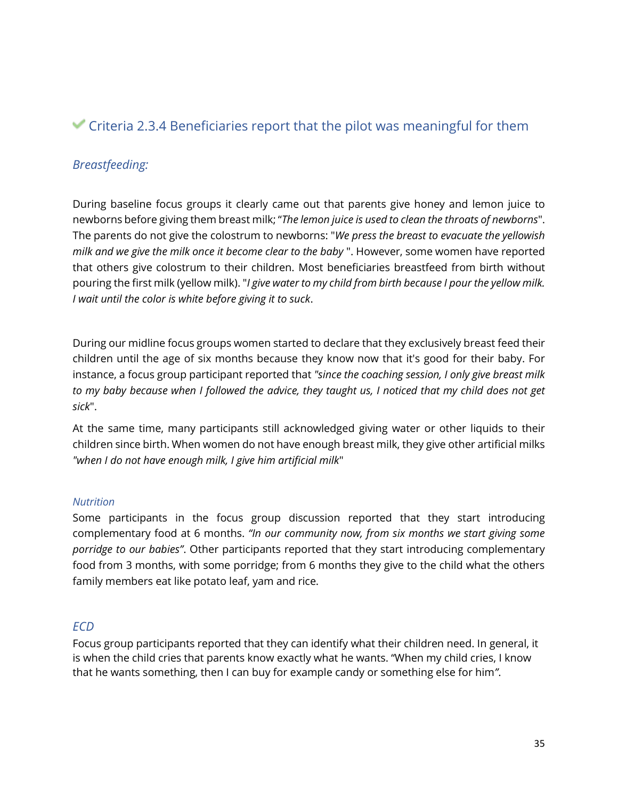### Criteria 2.3.4 Beneficiaries report that the pilot was meaningful for them

#### *Breastfeeding:*

During baseline focus groups it clearly came out that parents give honey and lemon juice to newborns before giving them breast milk; "*The lemon juice is used to clean the throats of newborns*". The parents do not give the colostrum to newborns: "*We press the breast to evacuate the yellowish milk and we give the milk once it become clear to the baby* ". However, some women have reported that others give colostrum to their children. Most beneficiaries breastfeed from birth without pouring the first milk (yellow milk). "*I give water to my child from birth because I pour the yellow milk. I wait until the color is white before giving it to suck*.

During our midline focus groups women started to declare that they exclusively breast feed their children until the age of six months because they know now that it's good for their baby. For instance, a focus group participant reported that *"since the coaching session, I only give breast milk to my baby because when I followed the advice, they taught us, I noticed that my child does not get sick*".

At the same time, many participants still acknowledged giving water or other liquids to their children since birth. When women do not have enough breast milk, they give other artificial milks *"when I do not have enough milk, I give him artificial milk*"

#### *Nutrition*

Some participants in the focus group discussion reported that they start introducing complementary food at 6 months. *"In our community now, from six months we start giving some porridge to our babies"*. Other participants reported that they start introducing complementary food from 3 months, with some porridge; from 6 months they give to the child what the others family members eat like potato leaf, yam and rice.

#### *ECD*

Focus group participants reported that they can identify what their children need. In general, it is when the child cries that parents know exactly what he wants. "When my child cries, I know that he wants something, then I can buy for example candy or something else for him*"*.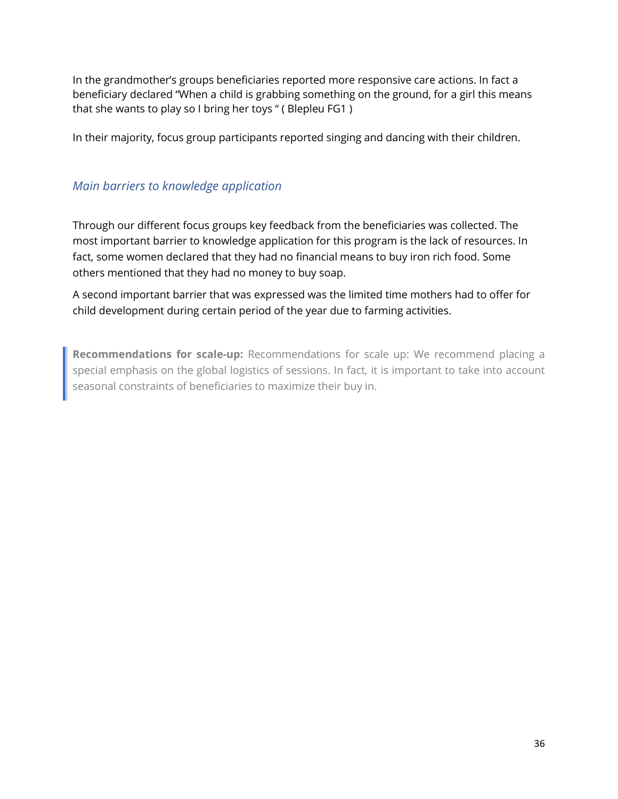In the grandmother's groups beneficiaries reported more responsive care actions. In fact a beneficiary declared "When a child is grabbing something on the ground, for a girl this means that she wants to play so I bring her toys " ( Blepleu FG1 )

In their majority, focus group participants reported singing and dancing with their children.

#### *Main barriers to knowledge application*

Through our different focus groups key feedback from the beneficiaries was collected. The most important barrier to knowledge application for this program is the lack of resources. In fact, some women declared that they had no financial means to buy iron rich food. Some others mentioned that they had no money to buy soap.

A second important barrier that was expressed was the limited time mothers had to offer for child development during certain period of the year due to farming activities.

**Recommendations for scale-up:** Recommendations for scale up: We recommend placing a special emphasis on the global logistics of sessions. In fact, it is important to take into account seasonal constraints of beneficiaries to maximize their buy in.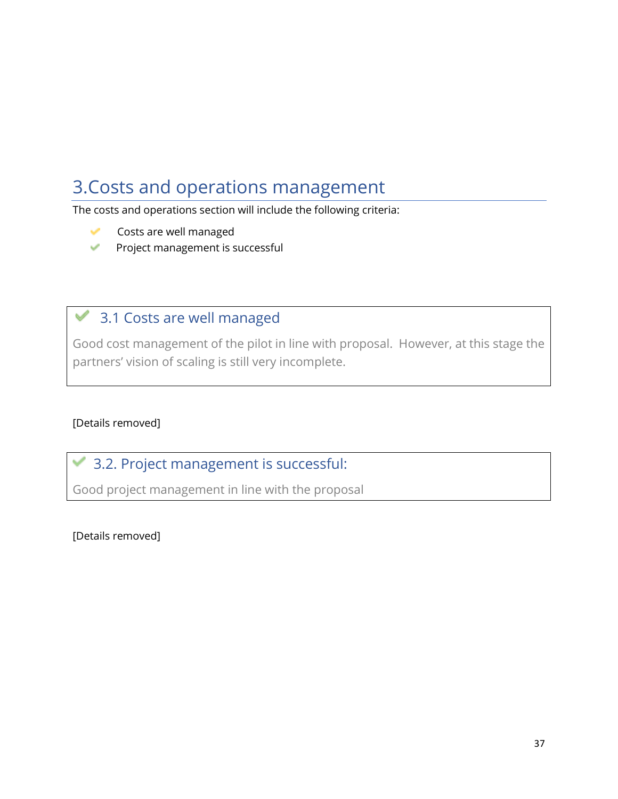# <span id="page-37-0"></span>3.Costs and operations management

The costs and operations section will include the following criteria:

- Costs are well managed
- Project management is successful

### 3.1 Costs are well managed

Good cost management of the pilot in line with proposal. However, at this stage the partners' vision of scaling is still very incomplete.

#### [Details removed]

## 3.2. Project management is successful:

Good project management in line with the proposal

[Details removed]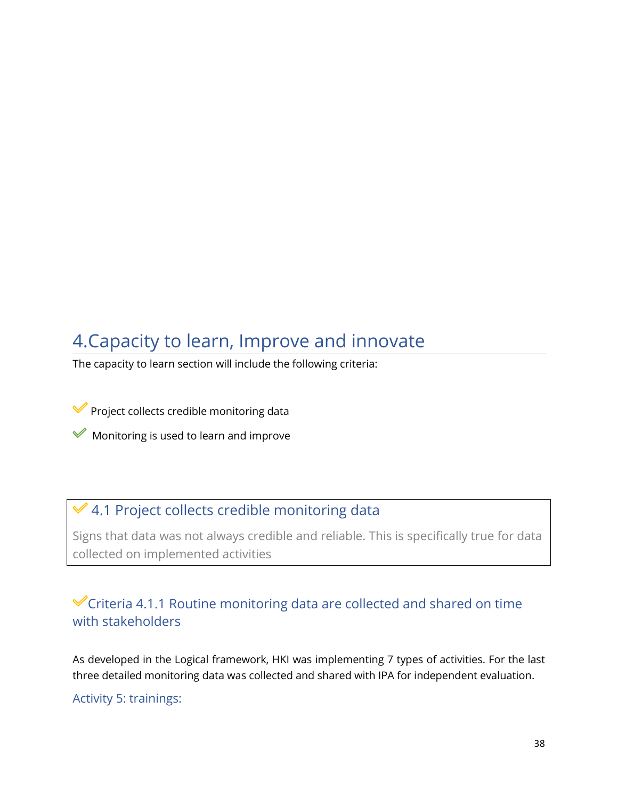# <span id="page-38-0"></span>4.Capacity to learn, Improve and innovate

The capacity to learn section will include the following criteria:

Project collects credible monitoring data

 $\mathcal V$  Monitoring is used to learn and improve

#### 4.1 Project collects credible monitoring data  $\checkmark$

Signs that data was not always credible and reliable. This is specifically true for data collected on implemented activities

### Criteria 4.1.1 Routine monitoring data are collected and shared on time with stakeholders

As developed in the Logical framework, HKI was implementing 7 types of activities. For the last three detailed monitoring data was collected and shared with IPA for independent evaluation.

#### Activity 5: trainings: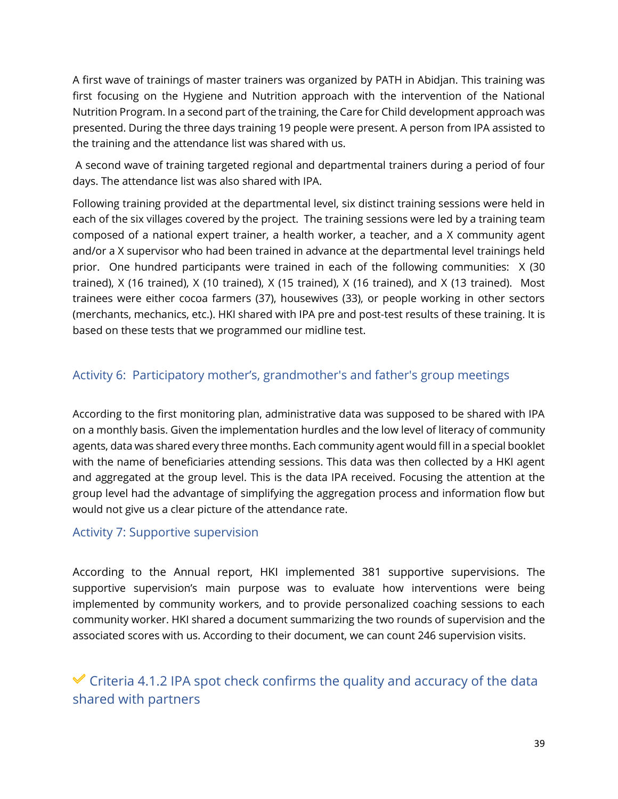A first wave of trainings of master trainers was organized by PATH in Abidjan. This training was first focusing on the Hygiene and Nutrition approach with the intervention of the National Nutrition Program. In a second part of the training, the Care for Child development approach was presented. During the three days training 19 people were present. A person from IPA assisted to the training and the attendance list was shared with us.

 A second wave of training targeted regional and departmental trainers during a period of four days. The attendance list was also shared with IPA.

Following training provided at the departmental level, six distinct training sessions were held in each of the six villages covered by the project. The training sessions were led by a training team composed of a national expert trainer, a health worker, a teacher, and a X community agent and/or a X supervisor who had been trained in advance at the departmental level trainings held prior. One hundred participants were trained in each of the following communities: X (30 trained), X (16 trained), X (10 trained), X (15 trained), X (16 trained), and X (13 trained). Most trainees were either cocoa farmers (37), housewives (33), or people working in other sectors (merchants, mechanics, etc.). HKI shared with IPA pre and post-test results of these training. It is based on these tests that we programmed our midline test.

#### Activity 6: Participatory mother's, grandmother's and father's group meetings

According to the first monitoring plan, administrative data was supposed to be shared with IPA on a monthly basis. Given the implementation hurdles and the low level of literacy of community agents, data was shared every three months. Each community agent would fill in a special booklet with the name of beneficiaries attending sessions. This data was then collected by a HKI agent and aggregated at the group level. This is the data IPA received. Focusing the attention at the group level had the advantage of simplifying the aggregation process and information flow but would not give us a clear picture of the attendance rate.

#### Activity 7: Supportive supervision

According to the Annual report, HKI implemented 381 supportive supervisions. The supportive supervision's main purpose was to evaluate how interventions were being implemented by community workers, and to provide personalized coaching sessions to each community worker. HKI shared a document summarizing the two rounds of supervision and the associated scores with us. According to their document, we can count 246 supervision visits.

### $\checkmark$  Criteria 4.1.2 IPA spot check confirms the quality and accuracy of the data shared with partners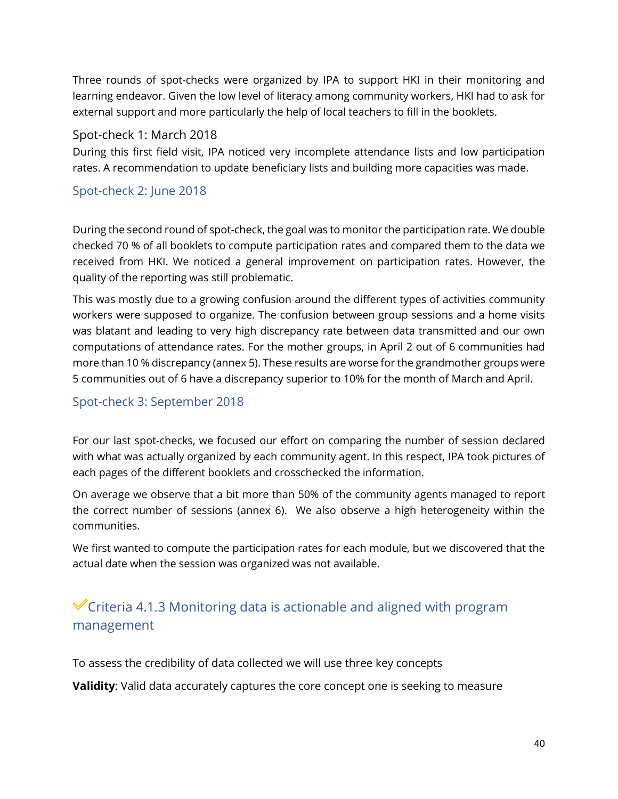Three rounds of spot-checks were organized by IPA to support HKI in their monitoring and learning endeavor. Given the low level of literacy among community workers, HKI had to ask for external support and more particularly the help of local teachers to fill in the booklets.

#### Spot-check 1: March 2018

During this first field visit, IPA noticed very incomplete attendance lists and low participation rates. A recommendation to update beneficiary lists and building more capacities was made.

#### Spot-check 2: June 2018

During the second round of spot-check, the goal was to monitor the participation rate. We double checked 70 % of all booklets to compute participation rates and compared them to the data we received from HKI. We noticed a general improvement on participation rates. However, the quality of the reporting was still problematic.

This was mostly due to a growing confusion around the different types of activities community workers were supposed to organize. The confusion between group sessions and a home visits was blatant and leading to very high discrepancy rate between data transmitted and our own computations of attendance rates. For the mother groups, in April 2 out of 6 communities had more than 10 % discrepancy (annex 5). These results are worse for the grandmother groups were 5 communities out of 6 have a discrepancy superior to 10% for the month of March and April.

#### Spot-check 3: September 2018

For our last spot-checks, we focused our effort on comparing the number of session declared with what was actually organized by each community agent. In this respect, IPA took pictures of each pages of the different booklets and crosschecked the information.

On average we observe that a bit more than 50% of the community agents managed to report the correct number of sessions (annex 6). We also observe a high heterogeneity within the communities.

We first wanted to compute the participation rates for each module, but we discovered that the actual date when the session was organized was not available.

### Criteria 4.1.3 Monitoring data is actionable and aligned with program management

To assess the credibility of data collected we will use three key concepts

**Validity**: Valid data accurately captures the core concept one is seeking to measure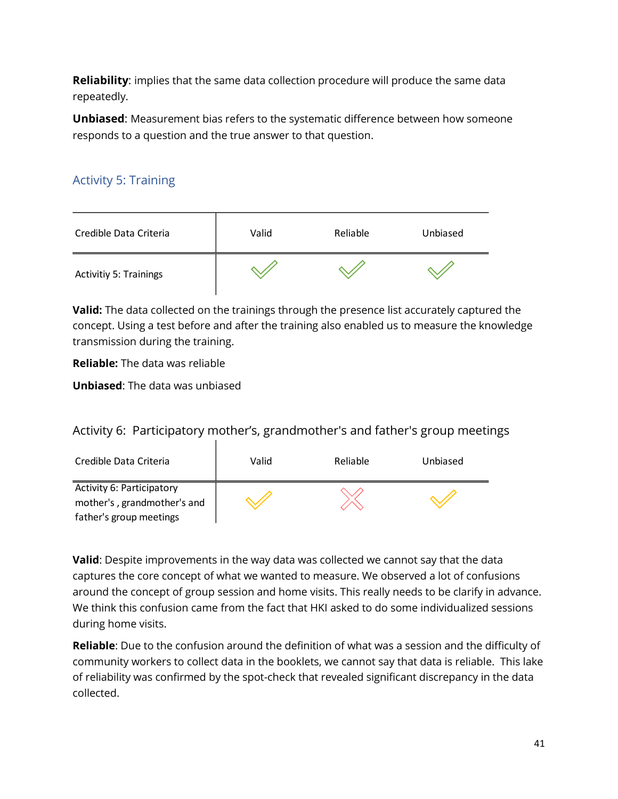**Reliability**: implies that the same data collection procedure will produce the same data repeatedly.

**Unbiased**: Measurement bias refers to the systematic difference between how someone responds to a question and the true answer to that question.

#### Activity 5: Training

| Credible Data Criteria        | Valid | Reliable | Unbiased |
|-------------------------------|-------|----------|----------|
| <b>Activitiy 5: Trainings</b> |       |          |          |

**Valid:** The data collected on the trainings through the presence list accurately captured the concept. Using a test before and after the training also enabled us to measure the knowledge transmission during the training.

**Reliable:** The data was reliable

**Unbiased**: The data was unbiased

Activity 6: Participatory mother's, grandmother's and father's group meetings

| Credible Data Criteria      | Valid | Reliable | Unbiased |
|-----------------------------|-------|----------|----------|
| Activity 6: Participatory   |       |          |          |
| mother's, grandmother's and |       |          |          |
| father's group meetings     |       |          |          |

**Valid**: Despite improvements in the way data was collected we cannot say that the data captures the core concept of what we wanted to measure. We observed a lot of confusions around the concept of group session and home visits. This really needs to be clarify in advance. We think this confusion came from the fact that HKI asked to do some individualized sessions during home visits.

**Reliable**: Due to the confusion around the definition of what was a session and the difficulty of community workers to collect data in the booklets, we cannot say that data is reliable. This lake of reliability was confirmed by the spot-check that revealed significant discrepancy in the data collected.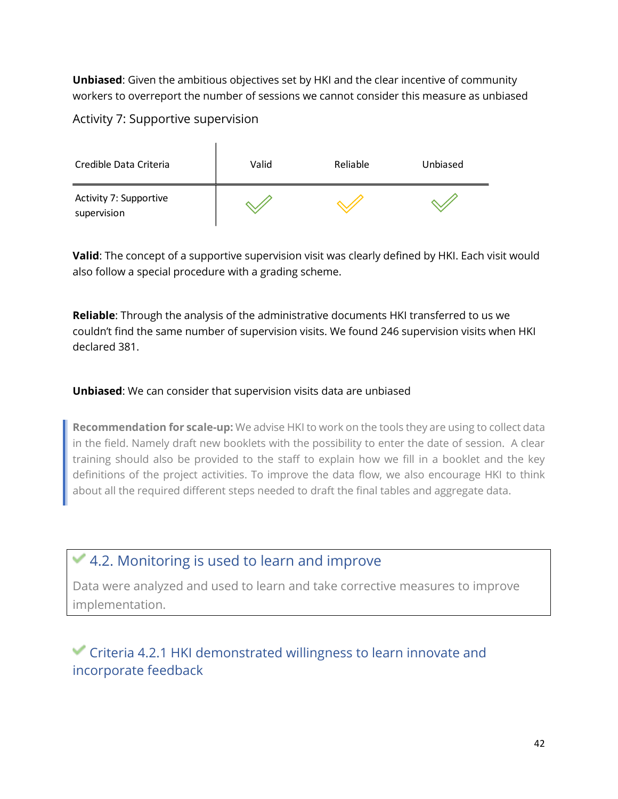**Unbiased**: Given the ambitious objectives set by HKI and the clear incentive of community workers to overreport the number of sessions we cannot consider this measure as unbiased

#### Activity 7: Supportive supervision



**Valid**: The concept of a supportive supervision visit was clearly defined by HKI. Each visit would also follow a special procedure with a grading scheme.

**Reliable**: Through the analysis of the administrative documents HKI transferred to us we couldn't find the same number of supervision visits. We found 246 supervision visits when HKI declared 381.

#### **Unbiased**: We can consider that supervision visits data are unbiased

**Recommendation for scale-up:** We advise HKI to work on the tools they are using to collect data in the field. Namely draft new booklets with the possibility to enter the date of session. A clear training should also be provided to the staff to explain how we fill in a booklet and the key definitions of the project activities. To improve the data flow, we also encourage HKI to think about all the required different steps needed to draft the final tables and aggregate data.

## 4.2. Monitoring is used to learn and improve

Data were analyzed and used to learn and take corrective measures to improve implementation.

### Criteria 4.2.1 HKI demonstrated willingness to learn innovate and incorporate feedback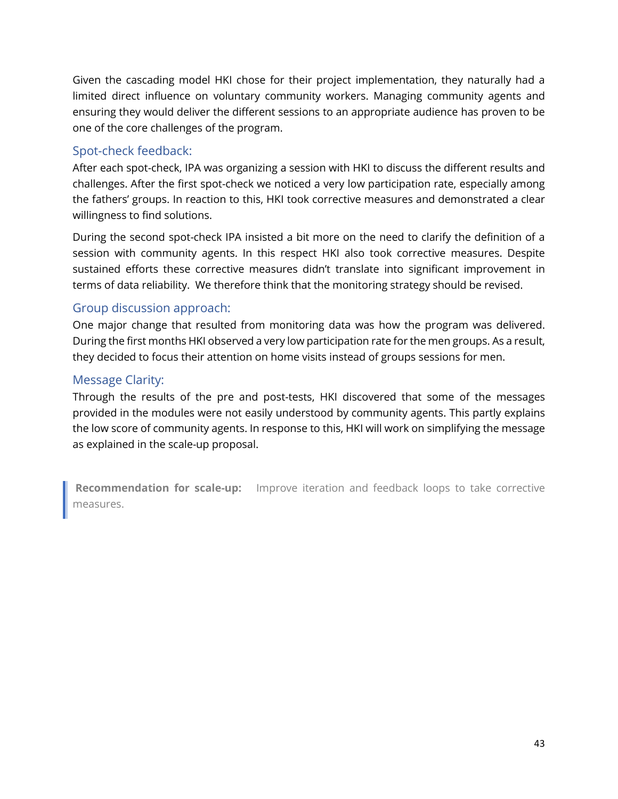Given the cascading model HKI chose for their project implementation, they naturally had a limited direct influence on voluntary community workers. Managing community agents and ensuring they would deliver the different sessions to an appropriate audience has proven to be one of the core challenges of the program.

#### Spot-check feedback:

After each spot-check, IPA was organizing a session with HKI to discuss the different results and challenges. After the first spot-check we noticed a very low participation rate, especially among the fathers' groups. In reaction to this, HKI took corrective measures and demonstrated a clear willingness to find solutions.

During the second spot-check IPA insisted a bit more on the need to clarify the definition of a session with community agents. In this respect HKI also took corrective measures. Despite sustained efforts these corrective measures didn't translate into significant improvement in terms of data reliability. We therefore think that the monitoring strategy should be revised.

#### Group discussion approach:

One major change that resulted from monitoring data was how the program was delivered. During the first months HKI observed a very low participation rate for the men groups. As a result, they decided to focus their attention on home visits instead of groups sessions for men.

#### Message Clarity:

Through the results of the pre and post-tests, HKI discovered that some of the messages provided in the modules were not easily understood by community agents. This partly explains the low score of community agents. In response to this, HKI will work on simplifying the message as explained in the scale-up proposal.

**Recommendation for scale-up:** Improve iteration and feedback loops to take corrective measures.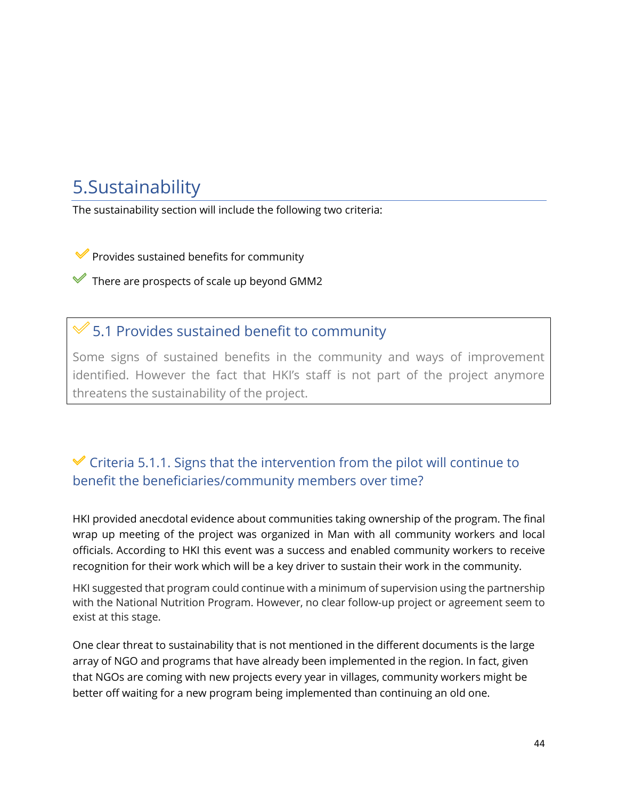# <span id="page-44-0"></span>5.Sustainability

The sustainability section will include the following two criteria:

 $\blacktriangleright$  Provides sustained benefits for community

 $\blacktriangleright$  There are prospects of scale up beyond GMM2

### 5.1 Provides sustained benefit to community

Some signs of sustained benefits in the community and ways of improvement identified. However the fact that HKI's staff is not part of the project anymore threatens the sustainability of the project.

### $\checkmark$  Criteria 5.1.1. Signs that the intervention from the pilot will continue to benefit the beneficiaries/community members over time?

HKI provided anecdotal evidence about communities taking ownership of the program. The final wrap up meeting of the project was organized in Man with all community workers and local officials. According to HKI this event was a success and enabled community workers to receive recognition for their work which will be a key driver to sustain their work in the community.

HKI suggested that program could continue with a minimum of supervision using the partnership with the National Nutrition Program. However, no clear follow-up project or agreement seem to exist at this stage.

One clear threat to sustainability that is not mentioned in the different documents is the large array of NGO and programs that have already been implemented in the region. In fact, given that NGOs are coming with new projects every year in villages, community workers might be better off waiting for a new program being implemented than continuing an old one.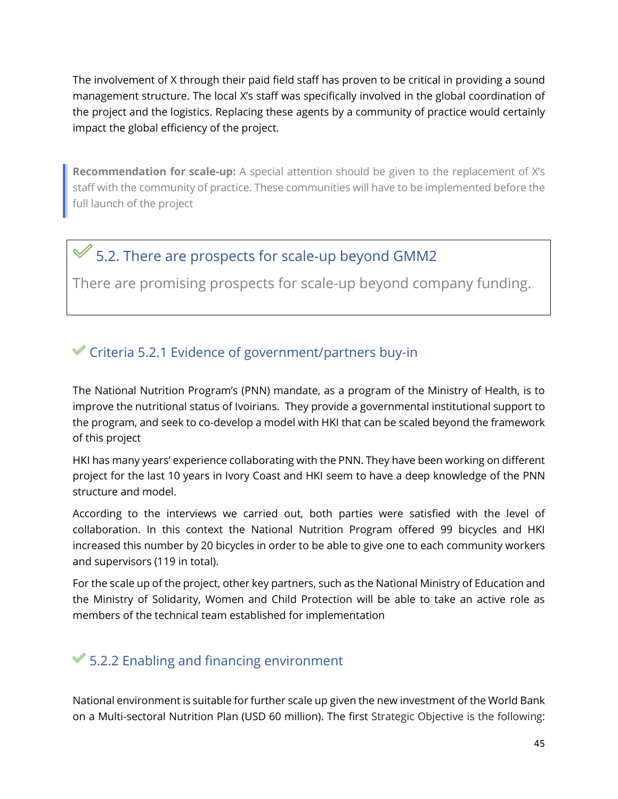The involvement of X through their paid field staff has proven to be critical in providing a sound management structure. The local X's staff was specifically involved in the global coordination of the project and the logistics. Replacing these agents by a community of practice would certainly impact the global efficiency of the project.

**Recommendation for scale-up:** A special attention should be given to the replacement of X's staff with the community of practice. These communities will have to be implemented before the full launch of the project

# $\mathcal$  5.2. There are prospects for scale-up beyond GMM2

There are promising prospects for scale-up beyond company funding.

### Criteria 5.2.1 Evidence of government/partners buy-in

The National Nutrition Program's (PNN) mandate, as a program of the Ministry of Health, is to improve the nutritional status of Ivoirians. They provide a governmental institutional support to the program, and seek to co-develop a model with HKI that can be scaled beyond the framework of this project

HKI has many years' experience collaborating with the PNN. They have been working on different project for the last 10 years in Ivory Coast and HKI seem to have a deep knowledge of the PNN structure and model.

According to the interviews we carried out, both parties were satisfied with the level of collaboration. In this context the National Nutrition Program offered 99 bicycles and HKI increased this number by 20 bicycles in order to be able to give one to each community workers and supervisors (119 in total).

For the scale up of the project, other key partners, such as the National Ministry of Education and the Ministry of Solidarity, Women and Child Protection will be able to take an active role as members of the technical team established for implementation

### $\blacktriangleright$  5.2.2 Enabling and financing environment

National environment is suitable for further scale up given the new investment of the World Bank on a Multi-sectoral Nutrition Plan (USD 60 million). The first Strategic Objective is the following: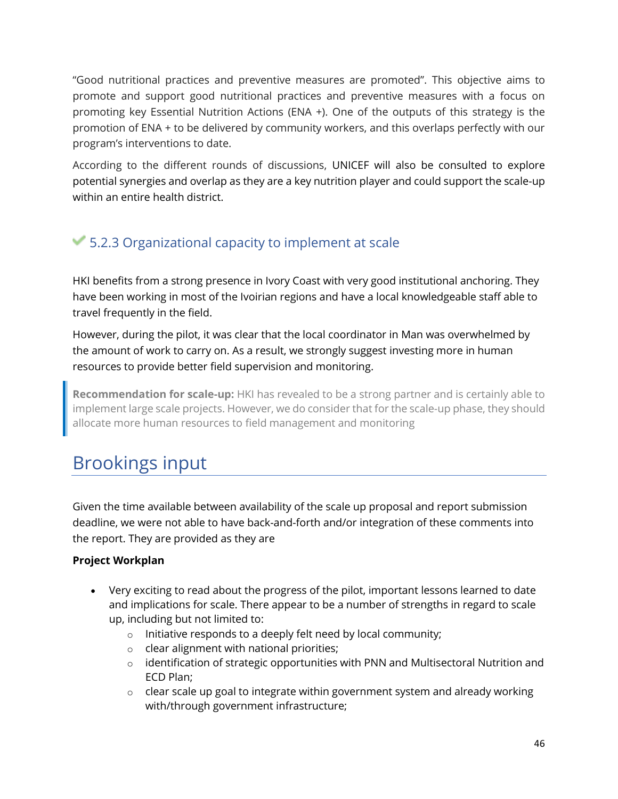"Good nutritional practices and preventive measures are promoted". This objective aims to promote and support good nutritional practices and preventive measures with a focus on promoting key Essential Nutrition Actions (ENA +). One of the outputs of this strategy is the promotion of ENA + to be delivered by community workers, and this overlaps perfectly with our program's interventions to date.

According to the different rounds of discussions, UNICEF will also be consulted to explore potential synergies and overlap as they are a key nutrition player and could support the scale-up within an entire health district.

## 5.2.3 Organizational capacity to implement at scale

HKI benefits from a strong presence in Ivory Coast with very good institutional anchoring. They have been working in most of the Ivoirian regions and have a local knowledgeable staff able to travel frequently in the field.

However, during the pilot, it was clear that the local coordinator in Man was overwhelmed by the amount of work to carry on. As a result, we strongly suggest investing more in human resources to provide better field supervision and monitoring.

**Recommendation for scale-up:** HKI has revealed to be a strong partner and is certainly able to implement large scale projects. However, we do consider that for the scale-up phase, they should allocate more human resources to field management and monitoring

# <span id="page-46-0"></span>Brookings input

Given the time available between availability of the scale up proposal and report submission deadline, we were not able to have back-and-forth and/or integration of these comments into the report. They are provided as they are

#### **Project Workplan**

- Very exciting to read about the progress of the pilot, important lessons learned to date and implications for scale. There appear to be a number of strengths in regard to scale up, including but not limited to:
	- $\circ$  Initiative responds to a deeply felt need by local community;
	- o clear alignment with national priorities;
	- o identification of strategic opportunities with PNN and Multisectoral Nutrition and ECD Plan;
	- $\circ$  clear scale up goal to integrate within government system and already working with/through government infrastructure;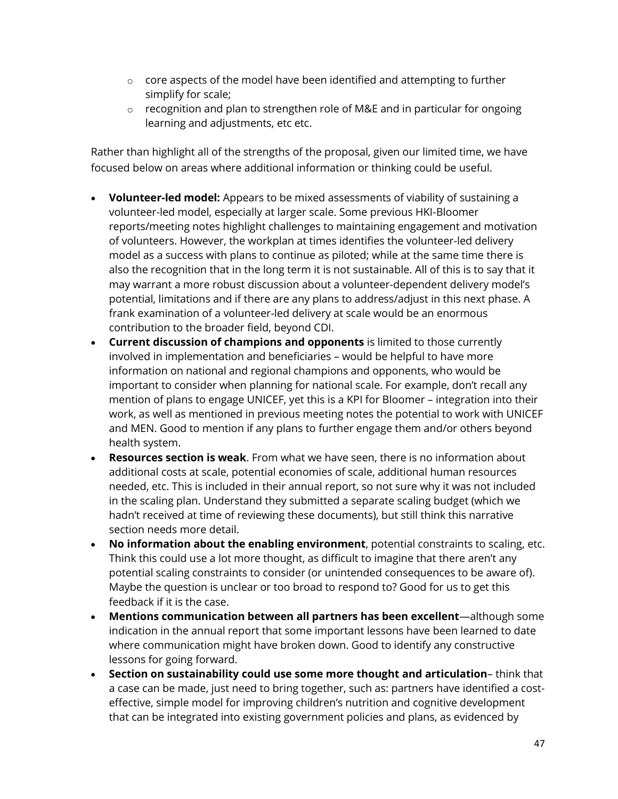- $\circ$  core aspects of the model have been identified and attempting to further simplify for scale;
- o recognition and plan to strengthen role of M&E and in particular for ongoing learning and adjustments, etc etc.

Rather than highlight all of the strengths of the proposal, given our limited time, we have focused below on areas where additional information or thinking could be useful.

- **Volunteer-led model:** Appears to be mixed assessments of viability of sustaining a volunteer-led model, especially at larger scale. Some previous HKI-Bloomer reports/meeting notes highlight challenges to maintaining engagement and motivation of volunteers. However, the workplan at times identifies the volunteer-led delivery model as a success with plans to continue as piloted; while at the same time there is also the recognition that in the long term it is not sustainable. All of this is to say that it may warrant a more robust discussion about a volunteer-dependent delivery model's potential, limitations and if there are any plans to address/adjust in this next phase. A frank examination of a volunteer-led delivery at scale would be an enormous contribution to the broader field, beyond CDI.
- **Current discussion of champions and opponents** is limited to those currently involved in implementation and beneficiaries – would be helpful to have more information on national and regional champions and opponents, who would be important to consider when planning for national scale. For example, don't recall any mention of plans to engage UNICEF, yet this is a KPI for Bloomer – integration into their work, as well as mentioned in previous meeting notes the potential to work with UNICEF and MEN. Good to mention if any plans to further engage them and/or others beyond health system.
- **Resources section is weak**. From what we have seen, there is no information about additional costs at scale, potential economies of scale, additional human resources needed, etc. This is included in their annual report, so not sure why it was not included in the scaling plan. Understand they submitted a separate scaling budget (which we hadn't received at time of reviewing these documents), but still think this narrative section needs more detail.
- **No information about the enabling environment**, potential constraints to scaling, etc. Think this could use a lot more thought, as difficult to imagine that there aren't any potential scaling constraints to consider (or unintended consequences to be aware of). Maybe the question is unclear or too broad to respond to? Good for us to get this feedback if it is the case.
- **Mentions communication between all partners has been excellent**—although some indication in the annual report that some important lessons have been learned to date where communication might have broken down. Good to identify any constructive lessons for going forward.
- **Section on sustainability could use some more thought and articulation** think that a case can be made, just need to bring together, such as: partners have identified a costeffective, simple model for improving children's nutrition and cognitive development that can be integrated into existing government policies and plans, as evidenced by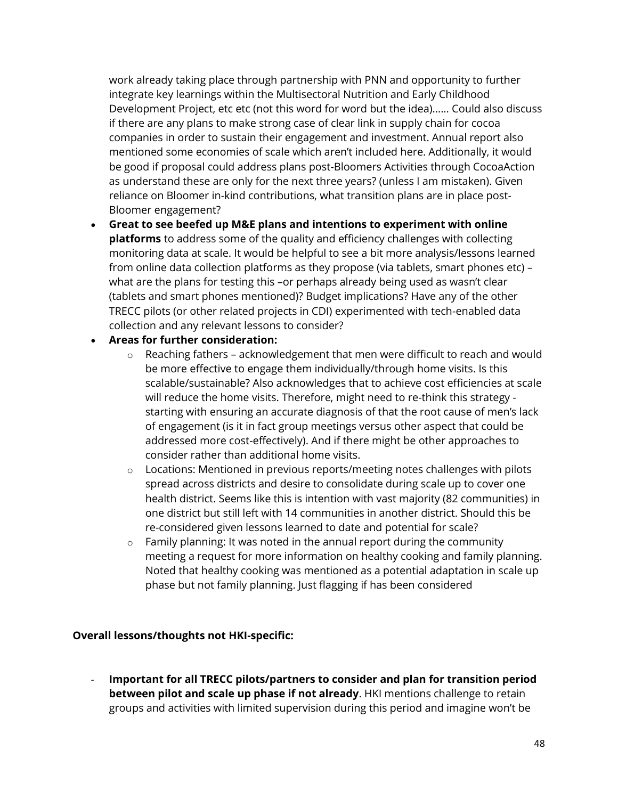work already taking place through partnership with PNN and opportunity to further integrate key learnings within the Multisectoral Nutrition and Early Childhood Development Project, etc etc (not this word for word but the idea)…... Could also discuss if there are any plans to make strong case of clear link in supply chain for cocoa companies in order to sustain their engagement and investment. Annual report also mentioned some economies of scale which aren't included here. Additionally, it would be good if proposal could address plans post-Bloomers Activities through CocoaAction as understand these are only for the next three years? (unless I am mistaken). Given reliance on Bloomer in-kind contributions, what transition plans are in place post-Bloomer engagement?

• **Great to see beefed up M&E plans and intentions to experiment with online platforms** to address some of the quality and efficiency challenges with collecting monitoring data at scale. It would be helpful to see a bit more analysis/lessons learned from online data collection platforms as they propose (via tablets, smart phones etc) – what are the plans for testing this –or perhaps already being used as wasn't clear (tablets and smart phones mentioned)? Budget implications? Have any of the other TRECC pilots (or other related projects in CDI) experimented with tech-enabled data collection and any relevant lessons to consider?

#### • **Areas for further consideration:**

- $\circ$  Reaching fathers acknowledgement that men were difficult to reach and would be more effective to engage them individually/through home visits. Is this scalable/sustainable? Also acknowledges that to achieve cost efficiencies at scale will reduce the home visits. Therefore, might need to re-think this strategy starting with ensuring an accurate diagnosis of that the root cause of men's lack of engagement (is it in fact group meetings versus other aspect that could be addressed more cost-effectively). And if there might be other approaches to consider rather than additional home visits.
- $\circ$  Locations: Mentioned in previous reports/meeting notes challenges with pilots spread across districts and desire to consolidate during scale up to cover one health district. Seems like this is intention with vast majority (82 communities) in one district but still left with 14 communities in another district. Should this be re-considered given lessons learned to date and potential for scale?
- $\circ$  Family planning: It was noted in the annual report during the community meeting a request for more information on healthy cooking and family planning. Noted that healthy cooking was mentioned as a potential adaptation in scale up phase but not family planning. Just flagging if has been considered

#### **Overall lessons/thoughts not HKI-specific:**

- **Important for all TRECC pilots/partners to consider and plan for transition period between pilot and scale up phase if not already**. HKI mentions challenge to retain groups and activities with limited supervision during this period and imagine won't be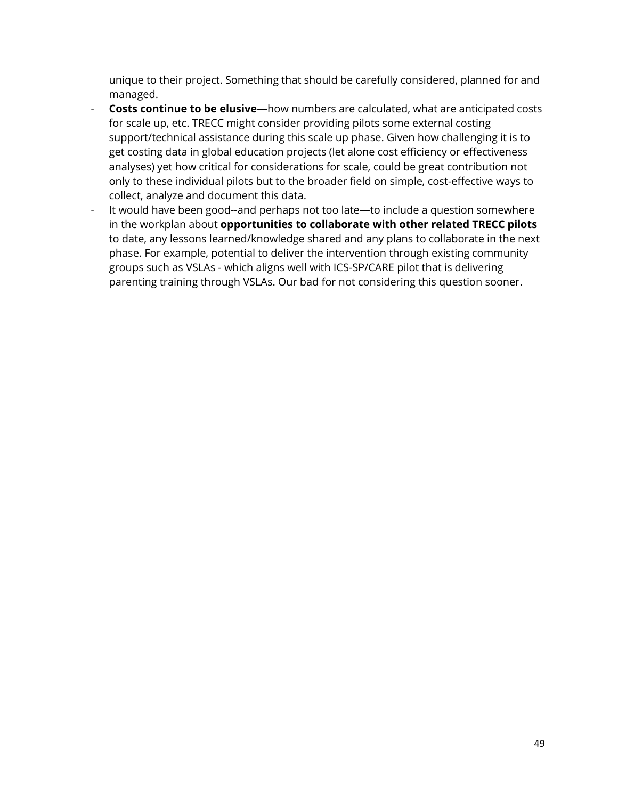unique to their project. Something that should be carefully considered, planned for and managed.

- **Costs continue to be elusive**—how numbers are calculated, what are anticipated costs for scale up, etc. TRECC might consider providing pilots some external costing support/technical assistance during this scale up phase. Given how challenging it is to get costing data in global education projects (let alone cost efficiency or effectiveness analyses) yet how critical for considerations for scale, could be great contribution not only to these individual pilots but to the broader field on simple, cost-effective ways to collect, analyze and document this data.
- It would have been good--and perhaps not too late—to include a question somewhere in the workplan about **opportunities to collaborate with other related TRECC pilots** to date, any lessons learned/knowledge shared and any plans to collaborate in the next phase. For example, potential to deliver the intervention through existing community groups such as VSLAs - which aligns well with ICS-SP/CARE pilot that is delivering parenting training through VSLAs. Our bad for not considering this question sooner.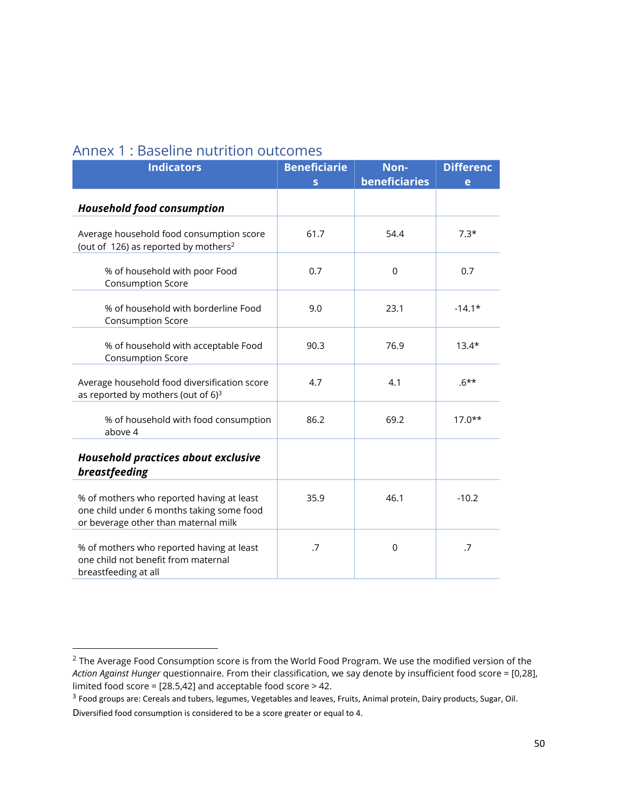| <b>Indicators</b>                                                                                                              | <b>Beneficiarie</b><br>s | Non-<br>beneficiaries | <b>Differenc</b><br>e |
|--------------------------------------------------------------------------------------------------------------------------------|--------------------------|-----------------------|-----------------------|
| <b>Household food consumption</b>                                                                                              |                          |                       |                       |
| Average household food consumption score<br>(out of 126) as reported by mothers <sup>2</sup>                                   | 61.7                     | 54.4                  | $7.3*$                |
| % of household with poor Food<br><b>Consumption Score</b>                                                                      | 0.7                      | $\mathbf 0$           | 0.7                   |
| % of household with borderline Food<br><b>Consumption Score</b>                                                                | 9.0                      | 23.1                  | $-14.1*$              |
| % of household with acceptable Food<br>Consumption Score                                                                       | 90.3                     | 76.9                  | $13.4*$               |
| Average household food diversification score<br>as reported by mothers (out of 6) <sup>3</sup>                                 | 4.7                      | 4.1                   | $.6***$               |
| % of household with food consumption<br>above 4                                                                                | 86.2                     | 69.2                  | $17.0**$              |
| Household practices about exclusive<br>breastfeeding                                                                           |                          |                       |                       |
| % of mothers who reported having at least<br>one child under 6 months taking some food<br>or beverage other than maternal milk | 35.9                     | 46.1                  | $-10.2$               |
| % of mothers who reported having at least<br>one child not benefit from maternal<br>breastfeeding at all                       | .7                       | $\mathbf 0$           | .7                    |

#### Annex 1 : Baseline nutrition outcomes

<sup>&</sup>lt;sup>2</sup> The Average Food Consumption score is from the World Food Program. We use the modified version of the *Action Against Hunger* questionnaire. From their classification, we say denote by insufficient food score = [0,28], limited food score = [28.5,42] and acceptable food score > 42.

<sup>&</sup>lt;sup>3</sup> Food groups are: Cereals and tubers, legumes, Vegetables and leaves, Fruits, Animal protein, Dairy products, Sugar, Oil. Diversified food consumption is considered to be a score greater or equal to 4.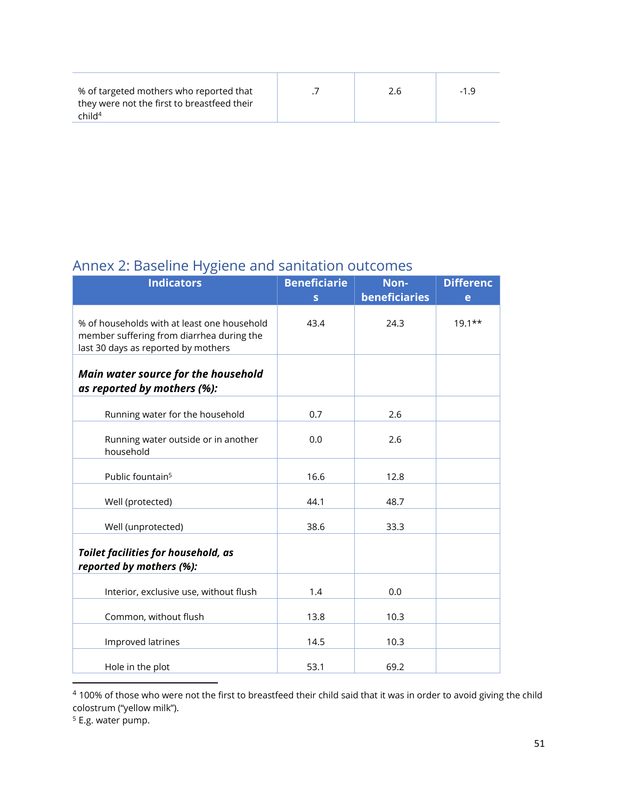| % of targeted mothers who reported that<br>they were not the first to breastfeed their<br>child <sup>4</sup> |  | 2.6 | -19 |
|--------------------------------------------------------------------------------------------------------------|--|-----|-----|
|--------------------------------------------------------------------------------------------------------------|--|-----|-----|

### Annex 2: Baseline Hygiene and sanitation outcomes

| ں ر                                         |                     |               |                  |
|---------------------------------------------|---------------------|---------------|------------------|
| <b>Indicators</b>                           | <b>Beneficiarie</b> | Non-          | <b>Differenc</b> |
|                                             | S                   | beneficiaries | e                |
|                                             |                     |               |                  |
| % of households with at least one household | 43.4                | 24.3          | $19.1**$         |
| member suffering from diarrhea during the   |                     |               |                  |
| last 30 days as reported by mothers         |                     |               |                  |
|                                             |                     |               |                  |
|                                             |                     |               |                  |
| Main water source for the household         |                     |               |                  |
| as reported by mothers (%):                 |                     |               |                  |
|                                             |                     |               |                  |
| Running water for the household             | 0.7                 | 2.6           |                  |
|                                             |                     |               |                  |
| Running water outside or in another         | 0.0                 | 2.6           |                  |
| household                                   |                     |               |                  |
|                                             |                     |               |                  |
| Public fountain <sup>5</sup>                | 16.6                | 12.8          |                  |
|                                             |                     |               |                  |
| Well (protected)                            | 44.1                | 48.7          |                  |
|                                             |                     |               |                  |
| Well (unprotected)                          | 38.6                | 33.3          |                  |
|                                             |                     |               |                  |
| <b>Toilet facilities for household, as</b>  |                     |               |                  |
| reported by mothers (%):                    |                     |               |                  |
|                                             |                     |               |                  |
| Interior, exclusive use, without flush      | 1.4                 | 0.0           |                  |
|                                             |                     |               |                  |
| Common, without flush                       | 13.8                | 10.3          |                  |
|                                             |                     |               |                  |
| Improved latrines                           | 14.5                | 10.3          |                  |
|                                             |                     |               |                  |
| Hole in the plot                            | 53.1                | 69.2          |                  |
|                                             |                     |               |                  |

<sup>&</sup>lt;sup>4</sup> 100% of those who were not the first to breastfeed their child said that it was in order to avoid giving the child colostrum ("yellow milk").

<sup>&</sup>lt;sup>5</sup> E.g. water pump.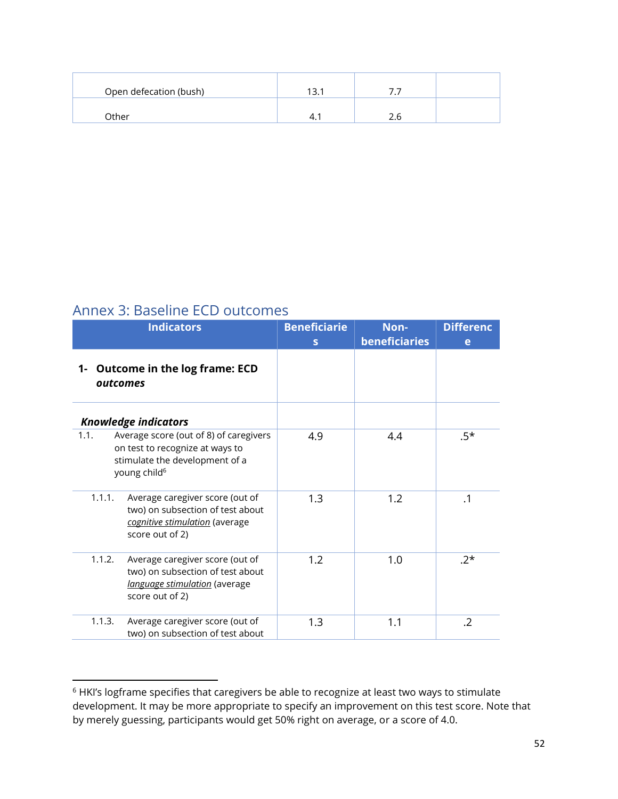| Open defecation (bush) |    |  |
|------------------------|----|--|
| Other                  | 4. |  |

### Annex 3: Baseline ECD outcomes

| <b>Indicators</b>                                                                                                                               | <b>Beneficiarie</b><br>$\mathbf{s}$ | Non-<br>beneficiaries | <b>Differenc</b><br>e |
|-------------------------------------------------------------------------------------------------------------------------------------------------|-------------------------------------|-----------------------|-----------------------|
| 1- Outcome in the log frame: ECD<br>outcomes                                                                                                    |                                     |                       |                       |
| <b>Knowledge indicators</b>                                                                                                                     |                                     |                       |                       |
| Average score (out of 8) of caregivers<br>1.1.<br>on test to recognize at ways to<br>stimulate the development of a<br>young child <sup>6</sup> | 4.9                                 | 4.4                   | $.5*$                 |
| Average caregiver score (out of<br>1.1.1.<br>two) on subsection of test about<br>cognitive stimulation (average<br>score out of 2)              | 1.3                                 | 1.2                   | $\cdot$ 1             |
| 1.1.2.<br>Average caregiver score (out of<br>two) on subsection of test about<br>language stimulation (average<br>score out of 2)               | 1.2                                 | 1.0                   | $.2*$                 |
| 1.1.3.<br>Average caregiver score (out of<br>two) on subsection of test about                                                                   | 1.3                                 | 1.1                   | .2                    |

<sup>6</sup> HKI's logframe specifies that caregivers be able to recognize at least two ways to stimulate development. It may be more appropriate to specify an improvement on this test score. Note that by merely guessing, participants would get 50% right on average, or a score of 4.0.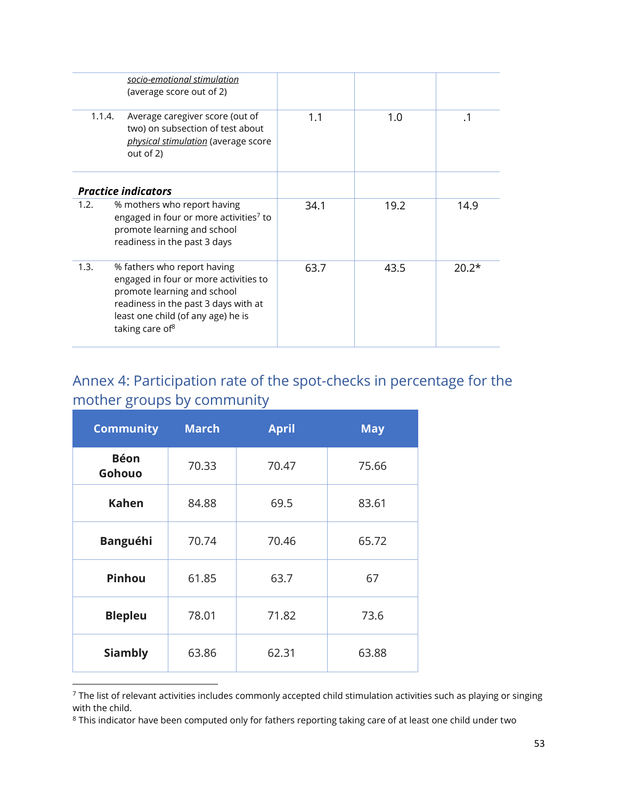|        | socio-emotional stimulation<br>(average score out of 2)                                                                                                                                                          |      |      |           |
|--------|------------------------------------------------------------------------------------------------------------------------------------------------------------------------------------------------------------------|------|------|-----------|
| 1.1.4. | Average caregiver score (out of<br>two) on subsection of test about<br>physical stimulation (average score<br>out of 2)                                                                                          | 1.1  | 1.0  | $\cdot$ 1 |
|        | <b>Practice indicators</b>                                                                                                                                                                                       |      |      |           |
| 1.2.   | % mothers who report having<br>engaged in four or more activities7 to<br>promote learning and school<br>readiness in the past 3 days                                                                             | 34.1 | 19.2 | 14.9      |
| 1.3.   | % fathers who report having<br>engaged in four or more activities to<br>promote learning and school<br>readiness in the past 3 days with at<br>least one child (of any age) he is<br>taking care of <sup>8</sup> | 63.7 | 43.5 | $20.2*$   |

# Annex 4: Participation rate of the spot-checks in percentage for the mother groups by community

| <b>Community</b>      | <b>March</b> | <b>April</b> | <b>May</b> |
|-----------------------|--------------|--------------|------------|
| <b>Béon</b><br>Gohouo | 70.33        | 70.47        | 75.66      |
| <b>Kahen</b>          | 84.88        | 69.5         | 83.61      |
| <b>Banguéhi</b>       | 70.74        | 70.46        | 65.72      |
| Pinhou                | 61.85        |              | 67         |
| <b>Blepleu</b>        | 78.01        |              | 73.6       |
| <b>Siambly</b>        | 63.86        |              | 63.88      |

 $^7$  The list of relevant activities includes commonly accepted child stimulation activities such as playing or singing with the child.

 $\rm ^{8}$  This indicator have been computed only for fathers reporting taking care of at least one child under two  $\rm$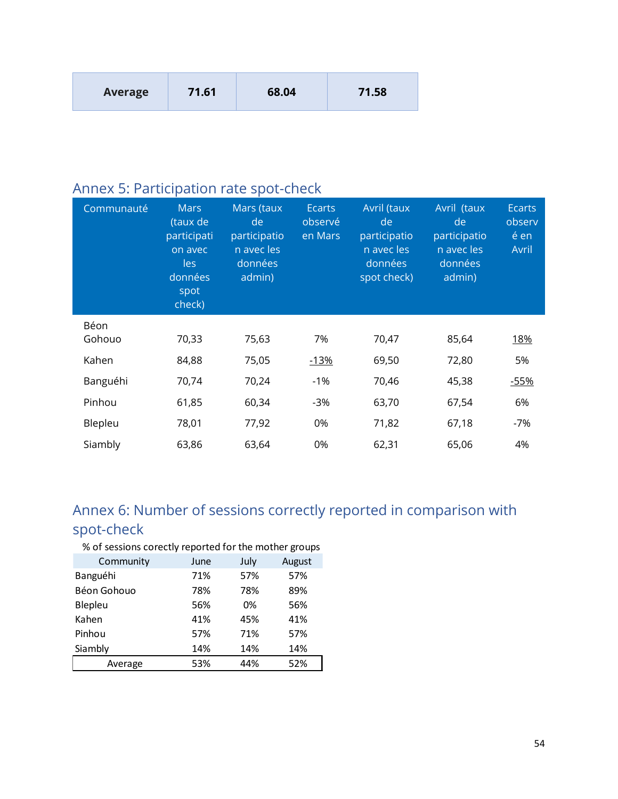# Annex 5: Participation rate spot-check

| Communauté | <b>Mars</b><br>(taux de<br>participati<br>on avec<br>les<br>données<br>spot<br>check) | Mars (taux<br>de<br>participatio<br>n avec les<br>données<br>admin) | <b>Ecarts</b><br>observé<br>en Mars | Avril (taux<br>de<br>participatio<br>n avec les<br>données<br>spot check) | Avril (taux<br>de<br>participatio<br>n avec les<br>données<br>admin) | <b>Ecarts</b><br>observ<br>é en<br>Avril |
|------------|---------------------------------------------------------------------------------------|---------------------------------------------------------------------|-------------------------------------|---------------------------------------------------------------------------|----------------------------------------------------------------------|------------------------------------------|
| Béon       |                                                                                       |                                                                     |                                     |                                                                           |                                                                      |                                          |
| Gohouo     | 70,33                                                                                 | 75,63                                                               | 7%                                  | 70,47                                                                     | 85,64                                                                | <u>18%</u>                               |
| Kahen      | 84,88                                                                                 | 75,05                                                               | $-13%$                              | 69,50                                                                     | 72,80                                                                | 5%                                       |
| Banguéhi   | 70,74                                                                                 | 70,24                                                               | $-1%$                               | 70,46                                                                     | 45,38                                                                | $-55%$                                   |
| Pinhou     | 61,85                                                                                 | 60,34                                                               | $-3%$                               | 63,70                                                                     | 67,54                                                                | 6%                                       |
| Blepleu    | 78,01                                                                                 | 77,92                                                               | 0%                                  | 71,82                                                                     | 67,18                                                                | $-7%$                                    |
| Siambly    | 63,86                                                                                 | 63,64                                                               | 0%                                  | 62,31                                                                     | 65,06                                                                | 4%                                       |

# Annex 6: Number of sessions correctly reported in comparison with spot-check

% of sessions corectly reported for the mother groups

| Community   | June | July | August |
|-------------|------|------|--------|
| Banguéhi    | 71%  | 57%  | 57%    |
| Béon Gohouo | 78%  | 78%  | 89%    |
| Blepleu     | 56%  | 0%   | 56%    |
| Kahen       | 41%  | 45%  | 41%    |
| Pinhou      | 57%  | 71%  | 57%    |
| Siambly     | 14%  | 14%  | 14%    |
| Average     | 53%  | 44%  | 52%    |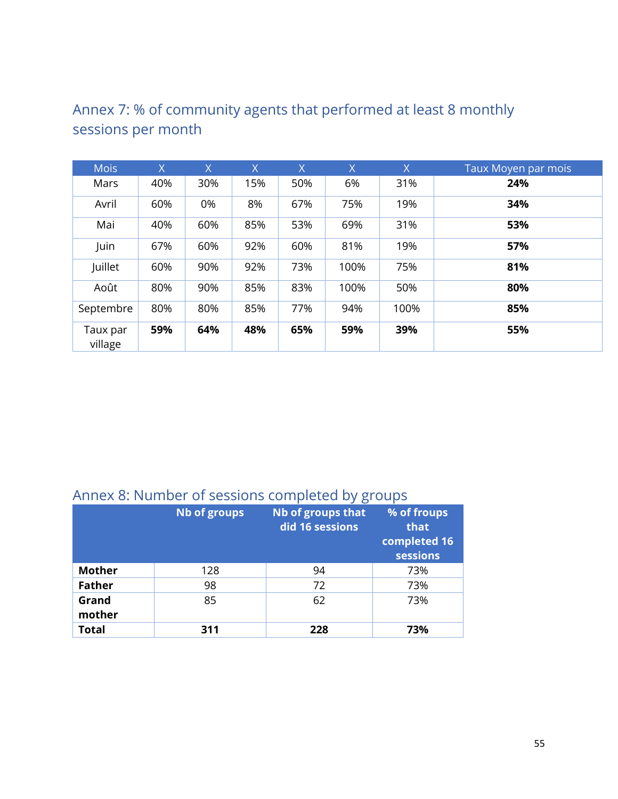| <b>Mois</b>         | X   | X   | $\overline{X}$ | X   | $\sf X$ | $\overline{X}$ | Taux Moyen par mois |
|---------------------|-----|-----|----------------|-----|---------|----------------|---------------------|
| Mars                | 40% | 30% | 15%            | 50% | 6%      | 31%            | 24%                 |
| Avril               | 60% | 0%  | 8%             | 67% | 75%     | 19%            | 34%                 |
| Mai                 | 40% | 60% | 85%            | 53% | 69%     | 31%            | 53%                 |
| Juin                | 67% | 60% | 92%            | 60% | 81%     | 19%            | 57%                 |
| Juillet             | 60% | 90% | 92%            | 73% | 100%    | 75%            | 81%                 |
| Août                | 80% | 90% | 85%            | 83% | 100%    | 50%            | 80%                 |
| Septembre           | 80% | 80% | 85%            | 77% | 94%     | 100%           | 85%                 |
| Taux par<br>village | 59% | 64% | 48%            | 65% | 59%     | 39%            | 55%                 |

## Annex 7: % of community agents that performed at least 8 monthly sessions per month

## Annex 8: Number of sessions completed by groups

|                 | Nb of groups | <b>Nb of groups that</b><br>did 16 sessions | % of froups<br>that<br>completed 16<br>sessions |
|-----------------|--------------|---------------------------------------------|-------------------------------------------------|
| <b>Mother</b>   | 128          | 94                                          | 73%                                             |
| <b>Father</b>   | 98           | 72                                          | 73%                                             |
| Grand<br>mother | 85           | 62                                          | 73%                                             |
| <b>Total</b>    | 311          | 228                                         | 73%                                             |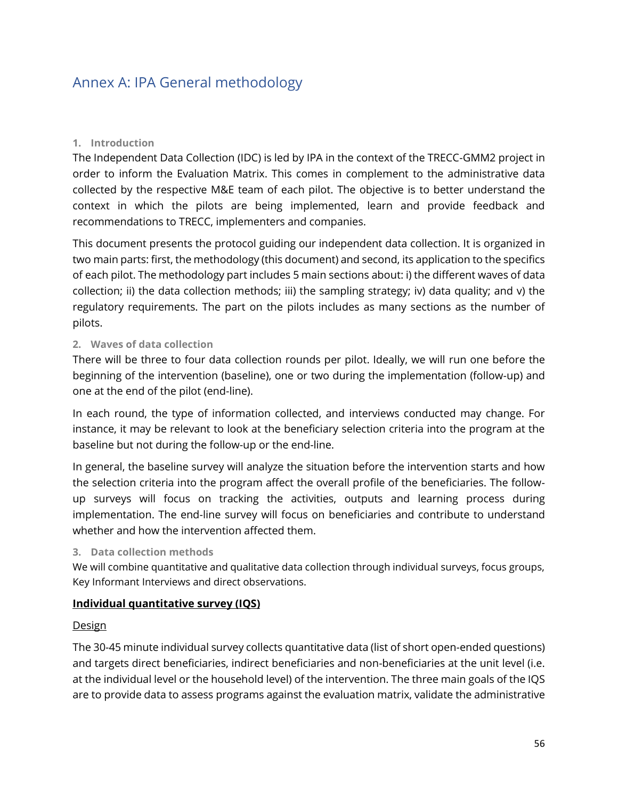### Annex A: IPA General methodology

#### **1. Introduction**

The Independent Data Collection (IDC) is led by IPA in the context of the TRECC-GMM2 project in order to inform the Evaluation Matrix. This comes in complement to the administrative data collected by the respective M&E team of each pilot. The objective is to better understand the context in which the pilots are being implemented, learn and provide feedback and recommendations to TRECC, implementers and companies.

This document presents the protocol guiding our independent data collection. It is organized in two main parts: first, the methodology (this document) and second, its application to the specifics of each pilot. The methodology part includes 5 main sections about: i) the different waves of data collection; ii) the data collection methods; iii) the sampling strategy; iv) data quality; and v) the regulatory requirements. The part on the pilots includes as many sections as the number of pilots.

#### **2. Waves of data collection**

There will be three to four data collection rounds per pilot. Ideally, we will run one before the beginning of the intervention (baseline), one or two during the implementation (follow-up) and one at the end of the pilot (end-line).

In each round, the type of information collected, and interviews conducted may change. For instance, it may be relevant to look at the beneficiary selection criteria into the program at the baseline but not during the follow-up or the end-line.

In general, the baseline survey will analyze the situation before the intervention starts and how the selection criteria into the program affect the overall profile of the beneficiaries. The followup surveys will focus on tracking the activities, outputs and learning process during implementation. The end-line survey will focus on beneficiaries and contribute to understand whether and how the intervention affected them.

#### **3. Data collection methods**

We will combine quantitative and qualitative data collection through individual surveys, focus groups, Key Informant Interviews and direct observations.

#### **Individual quantitative survey (IQS)**

#### **Design**

The 30-45 minute individual survey collects quantitative data (list of short open-ended questions) and targets direct beneficiaries, indirect beneficiaries and non-beneficiaries at the unit level (i.e. at the individual level or the household level) of the intervention. The three main goals of the IQS are to provide data to assess programs against the evaluation matrix, validate the administrative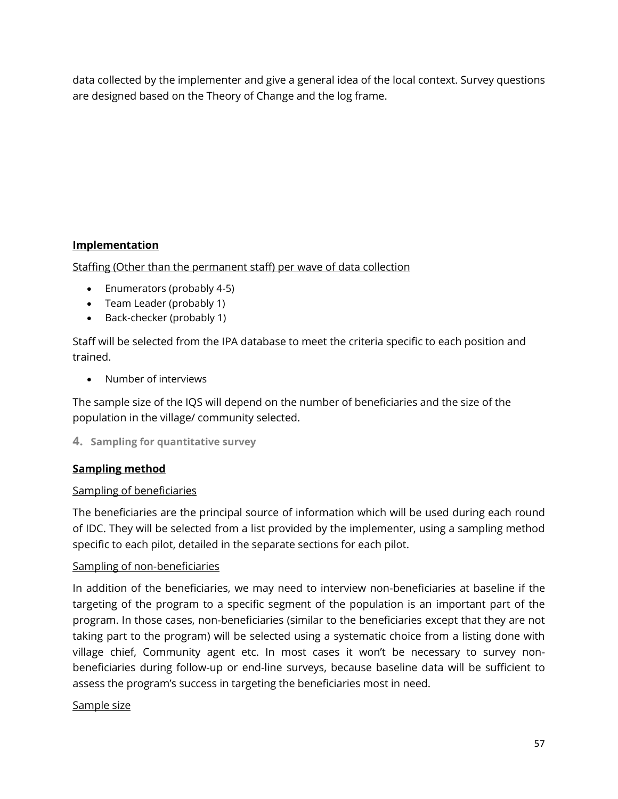data collected by the implementer and give a general idea of the local context. Survey questions are designed based on the Theory of Change and the log frame.

#### **Implementation**

Staffing (Other than the permanent staff) per wave of data collection

- Enumerators (probably 4-5)
- Team Leader (probably 1)
- Back-checker (probably 1)

Staff will be selected from the IPA database to meet the criteria specific to each position and trained.

• Number of interviews

The sample size of the IQS will depend on the number of beneficiaries and the size of the population in the village/ community selected.

#### **4. Sampling for quantitative survey**

#### **Sampling method**

#### Sampling of beneficiaries

The beneficiaries are the principal source of information which will be used during each round of IDC. They will be selected from a list provided by the implementer, using a sampling method specific to each pilot, detailed in the separate sections for each pilot.

#### Sampling of non-beneficiaries

In addition of the beneficiaries, we may need to interview non-beneficiaries at baseline if the targeting of the program to a specific segment of the population is an important part of the program. In those cases, non-beneficiaries (similar to the beneficiaries except that they are not taking part to the program) will be selected using a systematic choice from a listing done with village chief, Community agent etc. In most cases it won't be necessary to survey nonbeneficiaries during follow-up or end-line surveys, because baseline data will be sufficient to assess the program's success in targeting the beneficiaries most in need.

#### Sample size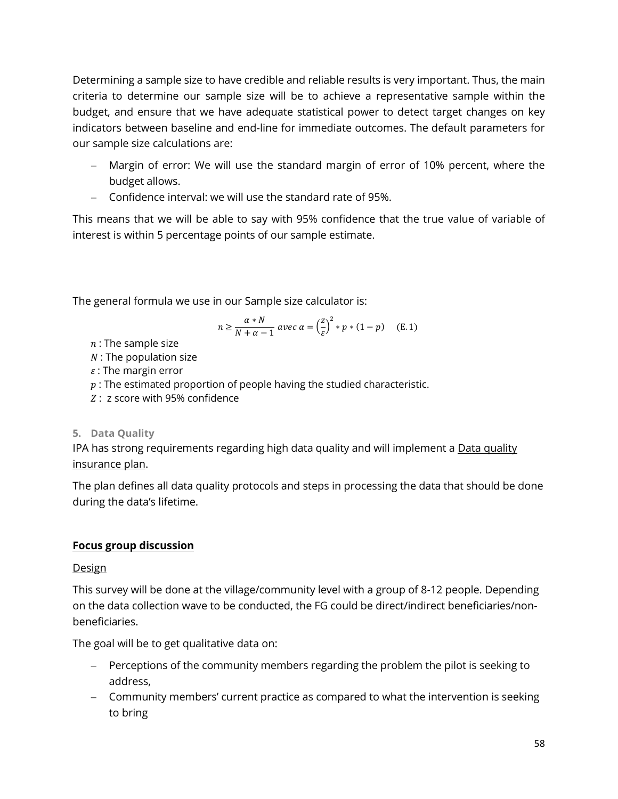Determining a sample size to have credible and reliable results is very important. Thus, the main criteria to determine our sample size will be to achieve a representative sample within the budget, and ensure that we have adequate statistical power to detect target changes on key indicators between baseline and end-line for immediate outcomes. The default parameters for our sample size calculations are:

- − Margin of error: We will use the standard margin of error of 10% percent, where the budget allows.
- − Confidence interval: we will use the standard rate of 95%.

This means that we will be able to say with 95% confidence that the true value of variable of interest is within 5 percentage points of our sample estimate.

The general formula we use in our Sample size calculator is:

$$
n \ge \frac{\alpha * N}{N + \alpha - 1} \text{ avec } \alpha = \left(\frac{z}{\varepsilon}\right)^2 * p * (1 - p) \quad \text{(E. 1)}
$$

- $n$ : The sample size
- $N$ : The population size
- $\varepsilon$ : The margin error
- $p:$  The estimated proportion of people having the studied characteristic.
- : z score with 95% confidence

#### **5. Data Quality**

IPA has strong requirements regarding high data quality and will implement a Data quality insurance plan.

The plan defines all data quality protocols and steps in processing the data that should be done during the data's lifetime.

#### **Focus group discussion**

#### **Design**

This survey will be done at the village/community level with a group of 8-12 people. Depending on the data collection wave to be conducted, the FG could be direct/indirect beneficiaries/nonbeneficiaries.

The goal will be to get qualitative data on:

- − Perceptions of the community members regarding the problem the pilot is seeking to address,
- − Community members' current practice as compared to what the intervention is seeking to bring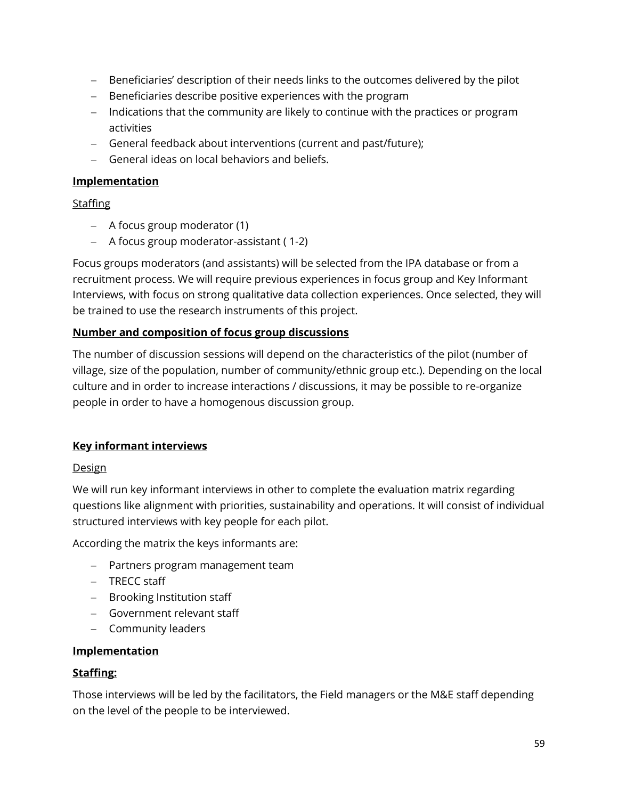- − Beneficiaries' description of their needs links to the outcomes delivered by the pilot
- − Beneficiaries describe positive experiences with the program
- − Indications that the community are likely to continue with the practices or program activities
- − General feedback about interventions (current and past/future);
- − General ideas on local behaviors and beliefs.

#### **Implementation**

#### **Staffing**

- − A focus group moderator (1)
- − A focus group moderator-assistant ( 1-2)

Focus groups moderators (and assistants) will be selected from the IPA database or from a recruitment process. We will require previous experiences in focus group and Key Informant Interviews, with focus on strong qualitative data collection experiences. Once selected, they will be trained to use the research instruments of this project.

#### **Number and composition of focus group discussions**

The number of discussion sessions will depend on the characteristics of the pilot (number of village, size of the population, number of community/ethnic group etc.). Depending on the local culture and in order to increase interactions / discussions, it may be possible to re-organize people in order to have a homogenous discussion group.

#### **Key informant interviews**

#### **Design**

We will run key informant interviews in other to complete the evaluation matrix regarding questions like alignment with priorities, sustainability and operations. It will consist of individual structured interviews with key people for each pilot.

According the matrix the keys informants are:

- − Partners program management team
- − TRECC staff
- − Brooking Institution staff
- − Government relevant staff
- − Community leaders

#### **Implementation**

#### **Staffing:**

Those interviews will be led by the facilitators, the Field managers or the M&E staff depending on the level of the people to be interviewed.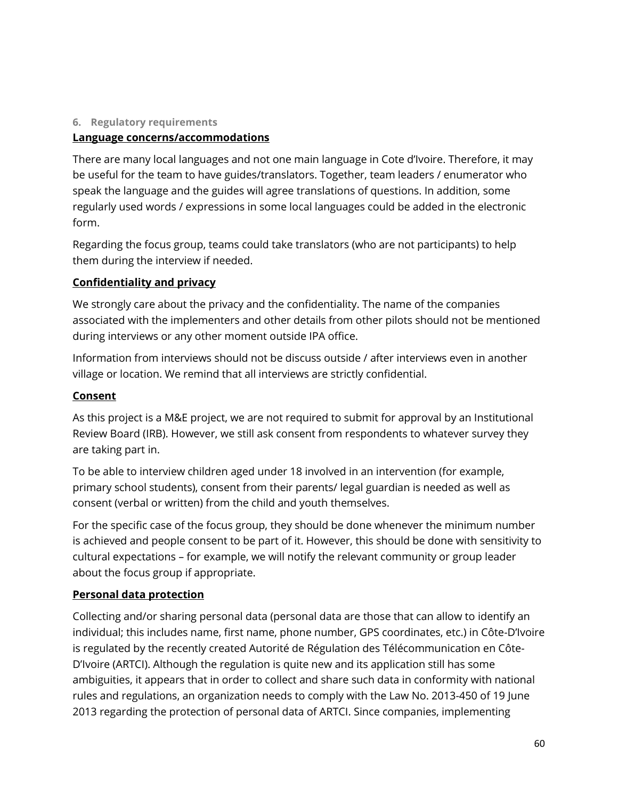#### **6. Regulatory requirements**

#### **Language concerns/accommodations**

There are many local languages and not one main language in Cote d'Ivoire. Therefore, it may be useful for the team to have guides/translators. Together, team leaders / enumerator who speak the language and the guides will agree translations of questions. In addition, some regularly used words / expressions in some local languages could be added in the electronic form.

Regarding the focus group, teams could take translators (who are not participants) to help them during the interview if needed.

#### **Confidentiality and privacy**

We strongly care about the privacy and the confidentiality. The name of the companies associated with the implementers and other details from other pilots should not be mentioned during interviews or any other moment outside IPA office.

Information from interviews should not be discuss outside / after interviews even in another village or location. We remind that all interviews are strictly confidential.

#### **Consent**

As this project is a M&E project, we are not required to submit for approval by an Institutional Review Board (IRB). However, we still ask consent from respondents to whatever survey they are taking part in.

To be able to interview children aged under 18 involved in an intervention (for example, primary school students), consent from their parents/ legal guardian is needed as well as consent (verbal or written) from the child and youth themselves.

For the specific case of the focus group, they should be done whenever the minimum number is achieved and people consent to be part of it. However, this should be done with sensitivity to cultural expectations – for example, we will notify the relevant community or group leader about the focus group if appropriate.

#### **Personal data protection**

Collecting and/or sharing personal data (personal data are those that can allow to identify an individual; this includes name, first name, phone number, GPS coordinates, etc.) in Côte-D'Ivoire is regulated by the recently created Autorité de Régulation des Télécommunication en Côte-D'Ivoire (ARTCI). Although the regulation is quite new and its application still has some ambiguities, it appears that in order to collect and share such data in conformity with national rules and regulations, an organization needs to comply with the Law No. 2013-450 of 19 June 2013 regarding the protection of personal data of ARTCI. Since companies, implementing